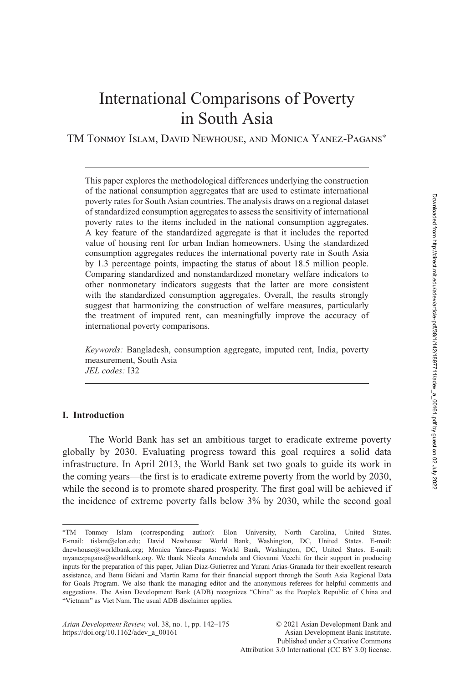# International Comparisons of Poverty in South Asia

TM Tonmoy Islam, David Newhouse, and Monica Yanez-Pagans<sup>∗</sup>

This paper explores the methodological differences underlying the construction of the national consumption aggregates that are used to estimate international poverty rates for South Asian countries. The analysis draws on a regional dataset of standardized consumption aggregates to assess the sensitivity of international poverty rates to the items included in the national consumption aggregates. A key feature of the standardized aggregate is that it includes the reported value of housing rent for urban Indian homeowners. Using the standardized consumption aggregates reduces the international poverty rate in South Asia by 1.3 percentage points, impacting the status of about 18.5 million people. Comparing standardized and nonstandardized monetary welfare indicators to other nonmonetary indicators suggests that the latter are more consistent with the standardized consumption aggregates. Overall, the results strongly suggest that harmonizing the construction of welfare measures, particularly the treatment of imputed rent, can meaningfully improve the accuracy of international poverty comparisons.

*Keywords:* Bangladesh, consumption aggregate, imputed rent, India, poverty measurement, South Asia *JEL codes:* I32

# **I. Introduction**

The World Bank has set an ambitious target to eradicate extreme poverty globally by 2030. Evaluating progress toward this goal requires a solid data infrastructure. In April 2013, the World Bank set two goals to guide its work in the coming years—the first is to eradicate extreme poverty from the world by 2030, while the second is to promote shared prosperity. The first goal will be achieved if the incidence of extreme poverty falls below 3% by 2030, while the second goal

<sup>∗</sup>TM Tonmoy Islam (corresponding author): Elon University, North Carolina, United States. E-mail: tislam@elon.edu; David Newhouse: World Bank, Washington, DC, United States. E-mail: dnewhouse@worldbank.org; Monica Yanez-Pagans: World Bank, Washington, DC, United States. E-mail: myanezpagans@worldbank.org. We thank Nicola Amendola and Giovanni Vecchi for their support in producing inputs for the preparation of this paper, Julian Diaz-Gutierrez and Yurani Arias-Granada for their excellent research assistance, and Benu Bidani and Martin Rama for their financial support through the South Asia Regional Data for Goals Program. We also thank the managing editor and the anonymous referees for helpful comments and suggestions. The Asian Development Bank (ADB) recognizes "China" as the People's Republic of China and "Vietnam" as Viet Nam. The usual ADB disclaimer applies.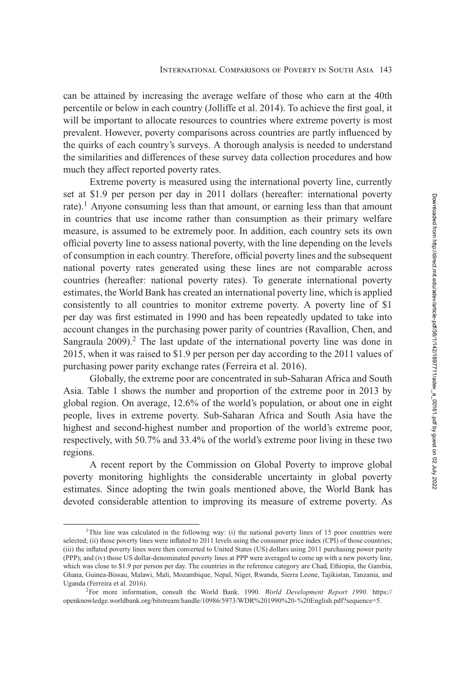can be attained by increasing the average welfare of those who earn at the 40th percentile or below in each country (Jolliffe et al. [2014\)](#page-31-0). To achieve the first goal, it will be important to allocate resources to countries where extreme poverty is most prevalent. However, poverty comparisons across countries are partly influenced by the quirks of each country's surveys. A thorough analysis is needed to understand the similarities and differences of these survey data collection procedures and how much they affect reported poverty rates.

Extreme poverty is measured using the international poverty line, currently set at \$1.9 per person per day in 2011 dollars (hereafter: international poverty rate).<sup>1</sup> Anyone consuming less than that amount, or earning less than that amount in countries that use income rather than consumption as their primary welfare measure, is assumed to be extremely poor. In addition, each country sets its own official poverty line to assess national poverty, with the line depending on the levels of consumption in each country. Therefore, official poverty lines and the subsequent national poverty rates generated using these lines are not comparable across countries (hereafter: national poverty rates). To generate international poverty estimates, the World Bank has created an international poverty line, which is applied consistently to all countries to monitor extreme poverty. A poverty line of \$1 per day was first estimated in 1990 and has been repeatedly updated to take into account changes in the purchasing power parity of countries (Ravallion, Chen, and Sangraula  $2009$ ).<sup>2</sup> The last update of the international poverty line was done in 2015, when it was raised to \$1.9 per person per day according to the 2011 values of purchasing power parity exchange rates (Ferreira et al. [2016\)](#page-30-0).

Globally, the extreme poor are concentrated in sub-Saharan Africa and South Asia. Table [1](#page-2-0) shows the number and proportion of the extreme poor in 2013 by global region. On average, 12.6% of the world's population, or about one in eight people, lives in extreme poverty. Sub-Saharan Africa and South Asia have the highest and second-highest number and proportion of the world's extreme poor, respectively, with 50.7% and 33.4% of the world's extreme poor living in these two regions.

A recent report by the Commission on Global Poverty to improve global poverty monitoring highlights the considerable uncertainty in global poverty estimates. Since adopting the twin goals mentioned above, the World Bank has devoted considerable attention to improving its measure of extreme poverty. As

<sup>&</sup>lt;sup>1</sup>This line was calculated in the following way: (i) the national poverty lines of 15 poor countries were selected; (ii) those poverty lines were inflated to 2011 levels using the consumer price index (CPI) of those countries; (iii) the inflated poverty lines were then converted to United States (US) dollars using 2011 purchasing power parity (PPP); and (iv) those US dollar-denominated poverty lines at PPP were averaged to come up with a new poverty line, which was close to \$1.9 per person per day. The countries in the reference category are Chad, Ethiopia, the Gambia, Ghana, Guinea-Bissau, Malawi, Mali, Mozambique, Nepal, Niger, Rwanda, Sierra Leone, Tajikistan, Tanzania, and Uganda (Ferreira et al. [2016\)](#page-30-0).

<sup>2</sup>For more information, consult the World Bank. 1990. *World Development Report 1990*. https:// [openknowledge.worldbank.org/bitstream/handle/10986/5973/WDR%201990%20-%20English.pdf?sequence=5.](https://openknowledge.worldbank.org/bitstream/handle/10986/5973/WDR%201990%20-%20English.pdf?sequence=5)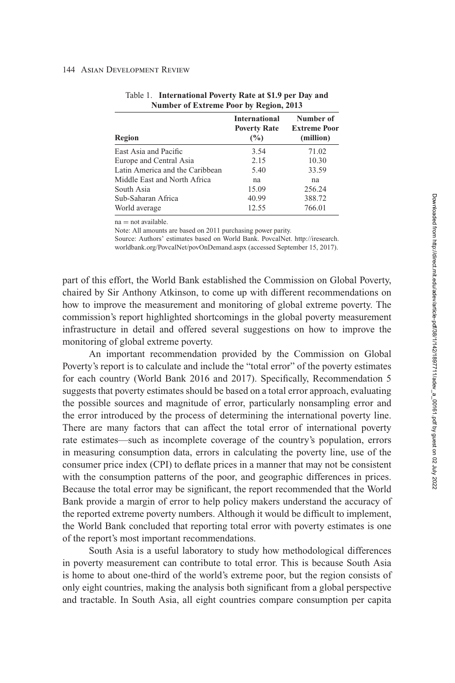| Region                          | <b>International</b><br><b>Poverty Rate</b><br>$\frac{6}{2}$ | Number of<br><b>Extreme Poor</b><br>(million) |
|---------------------------------|--------------------------------------------------------------|-----------------------------------------------|
| East Asia and Pacific           | 3.54                                                         | 71.02                                         |
| Europe and Central Asia         | 2.15                                                         | 10.30                                         |
| Latin America and the Caribbean | 5.40                                                         | 33.59                                         |
| Middle East and North Africa    | na                                                           | na                                            |
| South Asia                      | 15.09                                                        | 256.24                                        |
| Sub-Saharan Africa              | 40.99                                                        | 388.72                                        |
| World average                   | 12.55                                                        | 766.01                                        |

<span id="page-2-0"></span>

| Table 1. International Poverty Rate at \$1.9 per Day and |
|----------------------------------------------------------|
| Number of Extreme Poor by Region, 2013                   |

 $na = not available$ .

Note: All amounts are based on 2011 purchasing power parity.

[Source: Authors' estimates based on World Bank. PovcalNet. http://iresearch.](http://iresearch.worldbank.org/PovcalNet/povOnDemand.aspx) worldbank.org/PovcalNet/povOnDemand.aspx (accessed September 15, 2017).

part of this effort, the World Bank established the Commission on Global Poverty, chaired by Sir Anthony Atkinson, to come up with different recommendations on how to improve the measurement and monitoring of global extreme poverty. The commission's report highlighted shortcomings in the global poverty measurement infrastructure in detail and offered several suggestions on how to improve the monitoring of global extreme poverty.

An important recommendation provided by the Commission on Global Poverty's report is to calculate and include the "total error" of the poverty estimates for each country (World Bank 2016 and 2017). Specifically, Recommendation 5 suggests that poverty estimates should be based on a total error approach, evaluating the possible sources and magnitude of error, particularly nonsampling error and the error introduced by the process of determining the international poverty line. There are many factors that can affect the total error of international poverty rate estimates—such as incomplete coverage of the country's population, errors in measuring consumption data, errors in calculating the poverty line, use of the consumer price index (CPI) to deflate prices in a manner that may not be consistent with the consumption patterns of the poor, and geographic differences in prices. Because the total error may be significant, the report recommended that the World Bank provide a margin of error to help policy makers understand the accuracy of the reported extreme poverty numbers. Although it would be difficult to implement, the World Bank concluded that reporting total error with poverty estimates is one of the report's most important recommendations.

South Asia is a useful laboratory to study how methodological differences in poverty measurement can contribute to total error. This is because South Asia is home to about one-third of the world's extreme poor, but the region consists of only eight countries, making the analysis both significant from a global perspective and tractable. In South Asia, all eight countries compare consumption per capita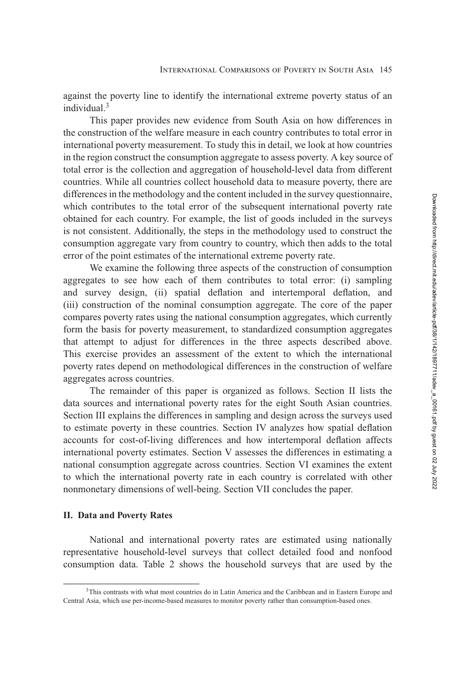against the poverty line to identify the international extreme poverty status of an individual.<sup>3</sup>

This paper provides new evidence from South Asia on how differences in the construction of the welfare measure in each country contributes to total error in international poverty measurement. To study this in detail, we look at how countries in the region construct the consumption aggregate to assess poverty. A key source of total error is the collection and aggregation of household-level data from different countries. While all countries collect household data to measure poverty, there are differences in the methodology and the content included in the survey questionnaire, which contributes to the total error of the subsequent international poverty rate obtained for each country. For example, the list of goods included in the surveys is not consistent. Additionally, the steps in the methodology used to construct the consumption aggregate vary from country to country, which then adds to the total error of the point estimates of the international extreme poverty rate.

We examine the following three aspects of the construction of consumption aggregates to see how each of them contributes to total error: (i) sampling and survey design, (ii) spatial deflation and intertemporal deflation, and (iii) construction of the nominal consumption aggregate. The core of the paper compares poverty rates using the national consumption aggregates, which currently form the basis for poverty measurement, to standardized consumption aggregates that attempt to adjust for differences in the three aspects described above. This exercise provides an assessment of the extent to which the international poverty rates depend on methodological differences in the construction of welfare aggregates across countries.

The remainder of this paper is organized as follows. Section II lists the data sources and international poverty rates for the eight South Asian countries. [Section III](#page-5-0) explains the differences in sampling and design across the surveys used to estimate poverty in these countries. [Section IV](#page-13-0) analyzes how spatial deflation accounts for cost-of-living differences and how intertemporal deflation affects international poverty estimates. [Section V](#page-17-0) assesses the differences in estimating a national consumption aggregate across countries. [Section VI](#page-23-0) examines the extent to which the international poverty rate in each country is correlated with other nonmonetary dimensions of well-being. [Section VII](#page-27-0) concludes the paper.

## **II. Data and Poverty Rates**

National and international poverty rates are estimated using nationally representative household-level surveys that collect detailed food and nonfood consumption data. Table [2](#page-4-0) shows the household surveys that are used by the

<sup>3</sup>This contrasts with what most countries do in Latin America and the Caribbean and in Eastern Europe and Central Asia, which use per-income-based measures to monitor poverty rather than consumption-based ones.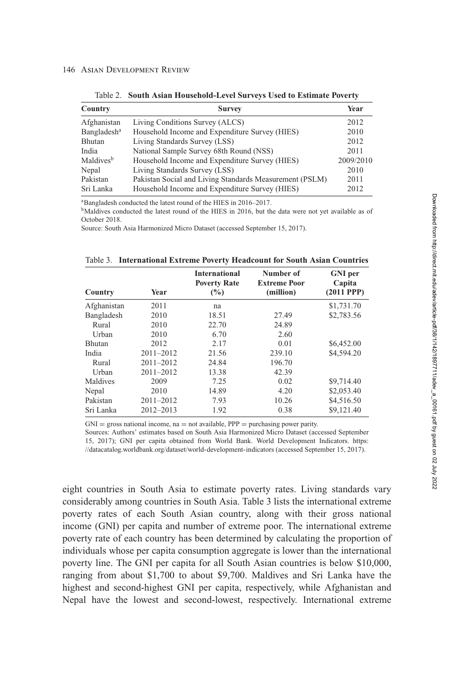<span id="page-4-0"></span>

| Country                 | <b>Survey</b>                                           | Year      |
|-------------------------|---------------------------------------------------------|-----------|
| Afghanistan             | Living Conditions Survey (ALCS)                         | 2012      |
| Bangladesh <sup>a</sup> | Household Income and Expenditure Survey (HIES)          | 2010      |
| Bhutan                  | Living Standards Survey (LSS)                           | 2012      |
| India                   | National Sample Survey 68th Round (NSS)                 | 2011      |
| Maldives <sup>b</sup>   | Household Income and Expenditure Survey (HIES)          | 2009/2010 |
| Nepal                   | Living Standards Survey (LSS)                           | 2010      |
| Pakistan                | Pakistan Social and Living Standards Measurement (PSLM) | 2011      |
| Sri Lanka               | Household Income and Expenditure Survey (HIES)          | 2012      |

Table 2. **South Asian Household-Level Surveys Used to Estimate Poverty**

aBangladesh conducted the latest round of the HIES in 2016–2017.

 $<sup>b</sup>$ Maldives conducted the latest round of the HIES in 2016, but the data were not yet available as of</sup> October 2018.

Source: South Asia Harmonized Micro Dataset (accessed September 15, 2017).

Table 3. **International Extreme Poverty Headcount for South Asian Countries**

| Country       | Year          | <b>International</b><br><b>Poverty Rate</b><br>$\frac{6}{2}$ | Number of<br><b>Extreme Poor</b><br>(million) | <b>GNI</b> per<br>Capita<br>$(2011$ PPP $)$ |
|---------------|---------------|--------------------------------------------------------------|-----------------------------------------------|---------------------------------------------|
| Afghanistan   | 2011          | na                                                           |                                               | \$1,731.70                                  |
| Bangladesh    | 2010          | 18.51                                                        | 27.49                                         | \$2,783.56                                  |
| Rural         | 2010          | 22.70                                                        | 24.89                                         |                                             |
| Urban         | 2010          | 6.70                                                         | 2.60                                          |                                             |
| <b>Bhutan</b> | 2012          | 2.17                                                         | 0.01                                          | \$6,452.00                                  |
| India         | $2011 - 2012$ | 21.56                                                        | 239.10                                        | \$4,594.20                                  |
| Rural         | $2011 - 2012$ | 24.84                                                        | 196.70                                        |                                             |
| Urban         | $2011 - 2012$ | 13.38                                                        | 42.39                                         |                                             |
| Maldives      | 2009          | 7.25                                                         | 0.02                                          | \$9,714.40                                  |
| Nepal         | 2010          | 14.89                                                        | 4.20                                          | \$2,053.40                                  |
| Pakistan      | $2011 - 2012$ | 7.93                                                         | 10.26                                         | \$4,516.50                                  |
| Sri Lanka     | $2012 - 2013$ | 1.92                                                         | 0.38                                          | \$9,121.40                                  |

 $GNI =$  gross national income, na = not available,  $PPP =$  purchasing power parity.

Sources: Authors' estimates based on South Asia Harmonized Micro Dataset (accessed September [15, 2017\); GNI per capita obtained from World Bank. World Development Indicators. https:](https://datacatalog.worldbank.org/dataset/world-development-indicators) //datacatalog.worldbank.org/dataset/world-development-indicators (accessed September 15, 2017).

eight countries in South Asia to estimate poverty rates. Living standards vary considerably among countries in South Asia. Table 3 lists the international extreme poverty rates of each South Asian country, along with their gross national income (GNI) per capita and number of extreme poor. The international extreme poverty rate of each country has been determined by calculating the proportion of individuals whose per capita consumption aggregate is lower than the international poverty line. The GNI per capita for all South Asian countries is below \$10,000, ranging from about \$1,700 to about \$9,700. Maldives and Sri Lanka have the highest and second-highest GNI per capita, respectively, while Afghanistan and Nepal have the lowest and second-lowest, respectively. International extreme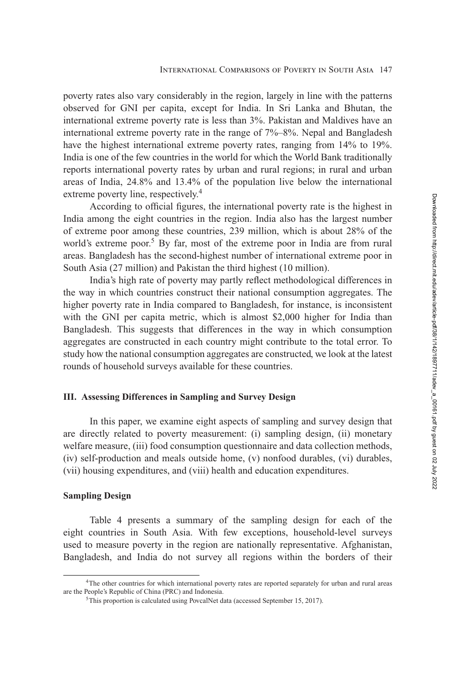<span id="page-5-0"></span>poverty rates also vary considerably in the region, largely in line with the patterns observed for GNI per capita, except for India. In Sri Lanka and Bhutan, the international extreme poverty rate is less than 3%. Pakistan and Maldives have an international extreme poverty rate in the range of 7%–8%. Nepal and Bangladesh have the highest international extreme poverty rates, ranging from 14% to 19%. India is one of the few countries in the world for which the World Bank traditionally reports international poverty rates by urban and rural regions; in rural and urban areas of India, 24.8% and 13.4% of the population live below the international extreme poverty line, respectively.<sup>4</sup>

According to official figures, the international poverty rate is the highest in India among the eight countries in the region. India also has the largest number of extreme poor among these countries, 239 million, which is about 28% of the world's extreme poor.<sup>5</sup> By far, most of the extreme poor in India are from rural areas. Bangladesh has the second-highest number of international extreme poor in South Asia (27 million) and Pakistan the third highest (10 million).

India's high rate of poverty may partly reflect methodological differences in the way in which countries construct their national consumption aggregates. The higher poverty rate in India compared to Bangladesh, for instance, is inconsistent with the GNI per capita metric, which is almost \$2,000 higher for India than Bangladesh. This suggests that differences in the way in which consumption aggregates are constructed in each country might contribute to the total error. To study how the national consumption aggregates are constructed, we look at the latest rounds of household surveys available for these countries.

# **III. Assessing Differences in Sampling and Survey Design**

In this paper, we examine eight aspects of sampling and survey design that are directly related to poverty measurement: (i) sampling design, (ii) monetary welfare measure, (iii) food consumption questionnaire and data collection methods, (iv) self-production and meals outside home, (v) nonfood durables, (vi) durables, (vii) housing expenditures, and (viii) health and education expenditures.

## **Sampling Design**

Table [4](#page-6-0) presents a summary of the sampling design for each of the eight countries in South Asia. With few exceptions, household-level surveys used to measure poverty in the region are nationally representative. Afghanistan, Bangladesh, and India do not survey all regions within the borders of their

<sup>4</sup>The other countries for which international poverty rates are reported separately for urban and rural areas are the People's Republic of China (PRC) and Indonesia.

<sup>5</sup>This proportion is calculated using PovcalNet data (accessed September 15, 2017).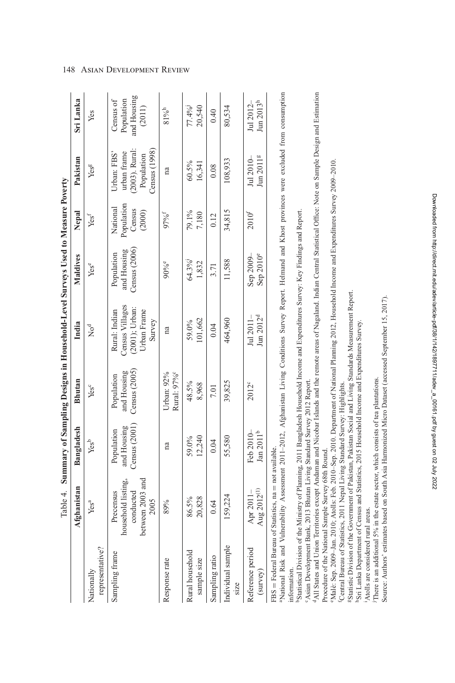|                                  | Table 4.                                                                                                                                                                                                                                |                                              |                                              | Summary of Sampling Designs in Household-Level Surveys Used to Measure Poverty |                                              |                                            |                                                                           |                                                  |
|----------------------------------|-----------------------------------------------------------------------------------------------------------------------------------------------------------------------------------------------------------------------------------------|----------------------------------------------|----------------------------------------------|--------------------------------------------------------------------------------|----------------------------------------------|--------------------------------------------|---------------------------------------------------------------------------|--------------------------------------------------|
|                                  | hanistan<br>Afg                                                                                                                                                                                                                         | Bangladesh                                   | Bhutan                                       | India                                                                          | Maldives                                     | Nepal                                      | Pakistan                                                                  | Sri Lanka                                        |
| representative?<br>Nationally    | Yes <sup>a</sup>                                                                                                                                                                                                                        | Yes <sup>b</sup>                             | Yesc                                         | $No^d$                                                                         | Yese                                         | Yes <sup>f</sup>                           | Yesg                                                                      | Yes                                              |
| Sampling frame                   | between 2003 and<br>household listing<br>conducted<br>Precensus<br>2005                                                                                                                                                                 | Census $(2001)$<br>and Housing<br>Population | Census $(2005)$<br>and Housing<br>Population | Census Villages<br>$(2001)$ ; Urban:<br>Rural: Indian<br>Urban Frame<br>Survey | Census $(2006)$<br>and Housing<br>Population | Population<br>National<br>Census<br>(2000) | (2003). Rural:<br>Census(1998)<br>urban frame<br>Urban: FBS<br>Population | and Housing<br>Population<br>Census of<br>(2011) |
| Response rate                    | 89%                                                                                                                                                                                                                                     | na                                           | Rural: 97%<br>Urban: $92\%$                  | $\mathbf{n}$ a                                                                 | 90%e                                         | 97% <sup>f</sup>                           | $\mathfrak{na}$                                                           | $81\%^{h}$                                       |
| Rural household<br>sample size   | 20,828<br>86.5%                                                                                                                                                                                                                         | 12,240<br>59.0%                              | 48.5%<br>8,968                               | 101,662<br>59.0%                                                               | 64.3%<br>1,832                               | 79.1%<br>7,180                             | 60.5%<br>16,341                                                           | 77.4%<br>20,540                                  |
| Sampling ratio                   | 0.64                                                                                                                                                                                                                                    | 0.04                                         | <b>7.01</b>                                  | 0.04                                                                           | 3.71                                         | 0.12                                       | 0.08                                                                      | 0.40                                             |
| Individual sample<br><b>SIZC</b> | 59,224                                                                                                                                                                                                                                  | 55,580                                       | 39,825                                       | 464,960                                                                        | 11,588                                       | 34,815                                     | 108,933                                                                   | 80,534                                           |
| Reference period<br>(survey)     | Aug 2012 <sup>(1)</sup><br>Apr 2011-                                                                                                                                                                                                    | Jan 2011 <sup>b</sup><br>Feb $2010$          | 2012°                                        | Jun 2012 <sup>d</sup><br>Jul 2011–                                             | Sep 2010 <sup>e</sup><br>Sep 2009-           | $2010^{f}$                                 | Jun 2011 <sup>g</sup><br>Jul $2010-$                                      | Jun 2013 <sup>h</sup><br>Jul 2012-               |
|                                  | <sup>3N</sup> Ational Risk and Vulnerability Assessment 2011-2012, Afghanistan Living Conditions Survey Report. Helmand and Khost provinces were excluded from consumption<br>$FBS = Federal Bureau of Statistics, na = not available.$ |                                              |                                              |                                                                                |                                              |                                            |                                                                           |                                                  |

information. information.

<sup>9</sup>Statistical Division of the Ministry of Planning, 2011 Bangladesh Household Income and Expenditures Survey: Key Findings and Report. bStatistical Division of the Ministry of Planning, 2011 Bangladesh Household Income and Expenditures Survey: Key Findings and Report.

<sup>9</sup>Asian Development Bank, 2013 Bhutan Living Standard Survey 2012 Report. cAsian Development Bank, 2013 Bhutan Living Standard Survey 2012 Report.

<sup>4</sup>All States and Union Territories except Andaman and Nicobar Islands and the remote areas of Nagaland. Indian Central Statistical Office: Note on Sample Design and Estimation dAll States and Union Territories except Andaman and Nicobar Islands and the remote areas of Nagaland. Indian Central Statistical Office: Note on Sample Design and Estimation Procedure of the National Sample Survey 68th Round. Procedure of the National Sample Survey 68th Round.

Malè: Sep. 2009-Jan. 2010; Atolls: Feb. 2010-Sep. 2010. Department of National Planning 2012, Household Income and Expenditures Survey 2009-2010. eMalè: Sep. 2009–Jan. 2010; Atolls: Feb. 2010–Sep. 2010. Department of National Planning 2012, Household Income and Expenditures Survey 2009–2010.

<sup>f</sup>Central Bureau of Statistics, 2011 Nepal Living Standard Survey: Highlights. fCentral Bureau of Statistics, 2011 Nepal Living Standard Survey: Highlights.

<sup>8</sup>Statistic Division of the Government of Pakistan, Pakistan Social and Living Standards Measurement Report. gStatistic Division of the Government of Pakistan, Pakistan Social and Living Standards Measurement Report.

hSri Lanka Department of Census and Statistics, 2015 Household Income and Expenditures Survey. hSri Lanka Department of Census and Statistics, 2015 Household Income and Expenditures Survey.

Atolls are considered rural areas. iAtolls are considered rural areas.

There is an additional 5% in the estate sector, which consists of tea plantations. jThere is an additional 5% in the estate sector, which consists of tea plantations.

Source: Authors' estimates based on South Asia Harmonized Micro Dataset (accessed September 15, 2017). Source: Authors' estimates based on South Asia Harmonized Micro Dataset (accessed September 15, 2017). Downloaded from http://direct.mit.edu/adev/article-pdf/38/1/142/1897711/adev\_a\_00161.pdf by guest on 02 July 2022

Downloaded from http://direct.mit.edu/adev/article-pdf/38/1/142/1897711/adev\_a\_00161.pdf by guest on 02 July 2022

# <span id="page-6-0"></span>148 Asian Development Review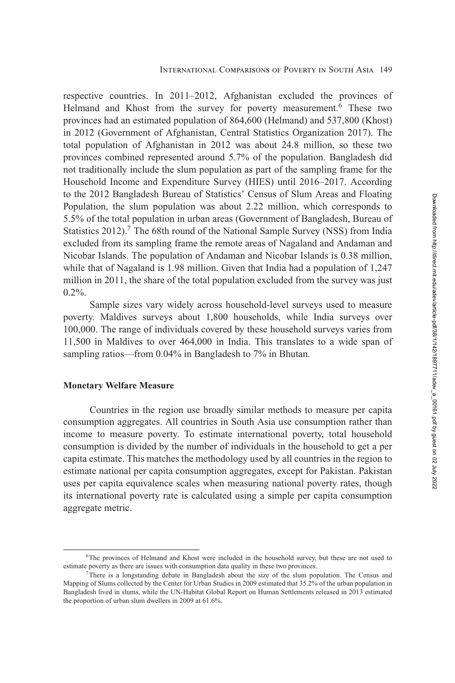respective countries. In 2011–2012, Afghanistan excluded the provinces of Helmand and Khost from the survey for poverty measurement.<sup>6</sup> These two provinces had an estimated population of 864,600 (Helmand) and 537,800 (Khost) in 2012 (Government of Afghanistan, Central Statistics Organization 2017). The total population of Afghanistan in 2012 was about 24.8 million, so these two provinces combined represented around 5.7% of the population. Bangladesh did not traditionally include the slum population as part of the sampling frame for the Household Income and Expenditure Survey (HIES) until 2016–2017. According to the 2012 Bangladesh Bureau of Statistics' Census of Slum Areas and Floating Population, the slum population was about 2.22 million, which corresponds to 5.5% of the total population in urban areas (Government of Bangladesh, Bureau of Statistics  $2012$ .<sup>7</sup> The 68th round of the National Sample Survey (NSS) from India excluded from its sampling frame the remote areas of Nagaland and Andaman and Nicobar Islands. The population of Andaman and Nicobar Islands is 0.38 million, while that of Nagaland is 1.98 million. Given that India had a population of 1,247 million in 2011, the share of the total population excluded from the survey was just 0.2%.

Sample sizes vary widely across household-level surveys used to measure poverty. Maldives surveys about 1,800 households, while India surveys over 100,000. The range of individuals covered by these household surveys varies from 11,500 in Maldives to over 464,000 in India. This translates to a wide span of sampling ratios—from 0.04% in Bangladesh to 7% in Bhutan.

## **Monetary Welfare Measure**

Countries in the region use broadly similar methods to measure per capita consumption aggregates. All countries in South Asia use consumption rather than income to measure poverty. To estimate international poverty, total household consumption is divided by the number of individuals in the household to get a per capita estimate. This matches the methodology used by all countries in the region to estimate national per capita consumption aggregates, except for Pakistan. Pakistan uses per capita equivalence scales when measuring national poverty rates, though its international poverty rate is calculated using a simple per capita consumption aggregate metric.

<sup>&</sup>lt;sup>6</sup>The provinces of Helmand and Khost were included in the household survey, but these are not used to estimate poverty as there are issues with consumption data quality in these two provinces.

<sup>7</sup>There is a longstanding debate in Bangladesh about the size of the slum population. The Census and Mapping of Slums collected by the Center for Urban Studies in 2009 estimated that 35.2% of the urban population in Bangladesh lived in slums, while the UN-Habitat Global Report on Human Settlements released in 2013 estimated the proportion of urban slum dwellers in 2009 at 61.6%.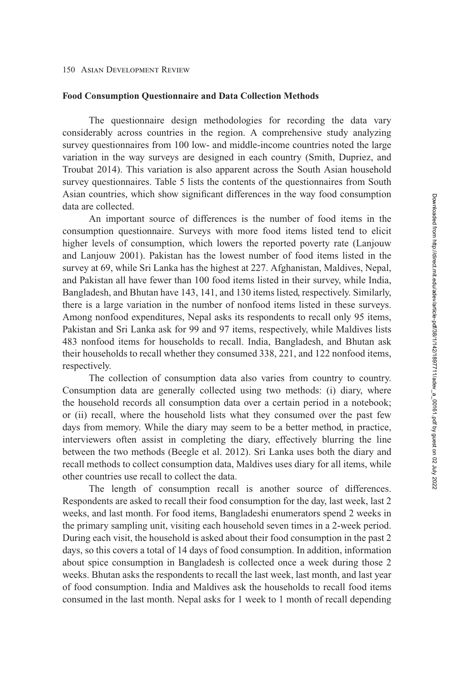## **Food Consumption Questionnaire and Data Collection Methods**

The questionnaire design methodologies for recording the data vary considerably across countries in the region. A comprehensive study analyzing survey questionnaires from 100 low- and middle-income countries noted the large variation in the way surveys are designed in each country (Smith, Dupriez, and Troubat [2014\)](#page-31-0). This variation is also apparent across the South Asian household survey questionnaires. Table [5](#page-9-0) lists the contents of the questionnaires from South Asian countries, which show significant differences in the way food consumption data are collected.

An important source of differences is the number of food items in the consumption questionnaire. Surveys with more food items listed tend to elicit higher levels of consumption, which lowers the reported poverty rate (Lanjouw and Lanjouw [2001\)](#page-31-0). Pakistan has the lowest number of food items listed in the survey at 69, while Sri Lanka has the highest at 227. Afghanistan, Maldives, Nepal, and Pakistan all have fewer than 100 food items listed in their survey, while India, Bangladesh, and Bhutan have 143, 141, and 130 items listed, respectively. Similarly, there is a large variation in the number of nonfood items listed in these surveys. Among nonfood expenditures, Nepal asks its respondents to recall only 95 items, Pakistan and Sri Lanka ask for 99 and 97 items, respectively, while Maldives lists 483 nonfood items for households to recall. India, Bangladesh, and Bhutan ask their households to recall whether they consumed 338, 221, and 122 nonfood items, respectively.

The collection of consumption data also varies from country to country. Consumption data are generally collected using two methods: (i) diary, where the household records all consumption data over a certain period in a notebook; or (ii) recall, where the household lists what they consumed over the past few days from memory. While the diary may seem to be a better method, in practice, interviewers often assist in completing the diary, effectively blurring the line between the two methods (Beegle et al. [2012\)](#page-30-0). Sri Lanka uses both the diary and recall methods to collect consumption data, Maldives uses diary for all items, while other countries use recall to collect the data.

The length of consumption recall is another source of differences. Respondents are asked to recall their food consumption for the day, last week, last 2 weeks, and last month. For food items, Bangladeshi enumerators spend 2 weeks in the primary sampling unit, visiting each household seven times in a 2-week period. During each visit, the household is asked about their food consumption in the past 2 days, so this covers a total of 14 days of food consumption. In addition, information about spice consumption in Bangladesh is collected once a week during those 2 weeks. Bhutan asks the respondents to recall the last week, last month, and last year of food consumption. India and Maldives ask the households to recall food items consumed in the last month. Nepal asks for 1 week to 1 month of recall depending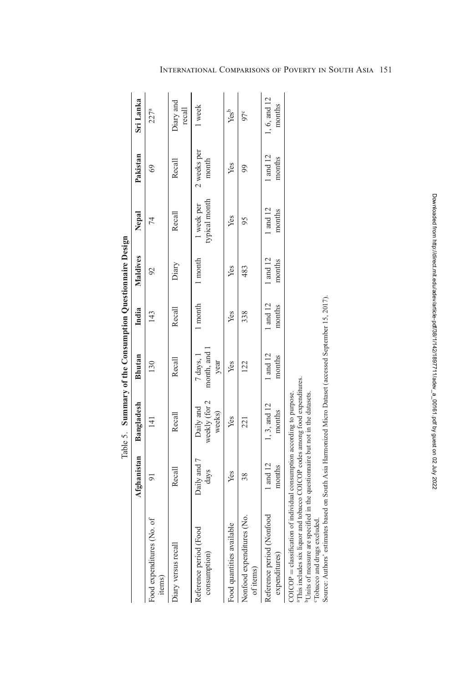| Ò<br>֧֧֧֚֚֚֚֚֚֚֚֚֚֚֚֚֚֚֚֚֚֚֚֚֚֚֚֚֚֚֚֚֚֚֚֚֚֟֝֓֝ |
|------------------------------------------------|
| -----------                                    |
| $\overline{\phantom{a}}$<br>ı                  |
| ;<br>l<br>d<br>$\zeta$                         |
| $\frac{1}{2}$                                  |
|                                                |
| The area of the contract of the con-<br>ζ      |
| .<br>د<br>t<br>₿<br>T-1.                       |

<span id="page-9-0"></span>

|                                                                                                                                                                                                                   |                                               |                                      | Table 5. Summary of the Consumption Questionnaire Design |                    |                    |                             |                      |                        |
|-------------------------------------------------------------------------------------------------------------------------------------------------------------------------------------------------------------------|-----------------------------------------------|--------------------------------------|----------------------------------------------------------|--------------------|--------------------|-----------------------------|----------------------|------------------------|
|                                                                                                                                                                                                                   | Afghanistan                                   | Bangladesh                           | <b>Bhutan</b>                                            | India              | Maldives           | Nepal                       | Pakistan             | Sri Lanka              |
| Food expenditures (No. of<br>items)                                                                                                                                                                               | $\overline{5}$                                | 141                                  | 130                                                      | 143                | $\mathfrak{S}$     | 74                          | 69                   | 227 <sup>a</sup>       |
| Diary versus recall                                                                                                                                                                                               | Recall                                        | Recall                               | Recall                                                   | Recall             | Diary              | Recall                      | Recall               | Diary and<br>recall    |
| Reference period (Food<br>consumption)                                                                                                                                                                            | Daily and 7<br>days                           | weekly (for 2<br>Daily and<br>weeks) | month, and 1<br>7 days, 1<br>year                        | 1 month            | 1 month            | typical month<br>1 week per | 2 weeks per<br>month | 1 week                 |
| Food quantities available                                                                                                                                                                                         | Yes                                           | Yes                                  | Yes                                                      | Yes                | Yes                | Yes                         | Yes                  | Yes <sup>b</sup>       |
| Nonfood expenditures (No.<br>of items)                                                                                                                                                                            | 38                                            | 221                                  | 122                                                      | 338                | 483                | 95                          | 99                   | $97^c$                 |
| Reference period (Nonfood<br>expenditures)                                                                                                                                                                        | 1 and 12<br>months                            | 1, 3, and 12<br>months               | 1 and 12<br>months                                       | 1 and 12<br>months | 1 and 12<br>months | 1 and 12<br>months          | 1 and 12<br>months   | 1, 6, and 12<br>months |
| <sup>a</sup> This includes six liquor and tobacco COICOP codes among food expenditures.<br>COICOP = classification of individual consumption according to purpose.<br><sup>b</sup> Units of measure are specified | in the questionnaire but not in the datasets. |                                      |                                                          |                    |                    |                             |                      |                        |

cTobacco and drugs excluded.

"Tobacco and drugs excluded.<br>Source: Authors' estimates based on South Asia Harmonized Micro Dataset (accessed September 15, 2017). Source: Authors' estimates based on South Asia Harmonized Micro Dataset (accessed September 15, 2017).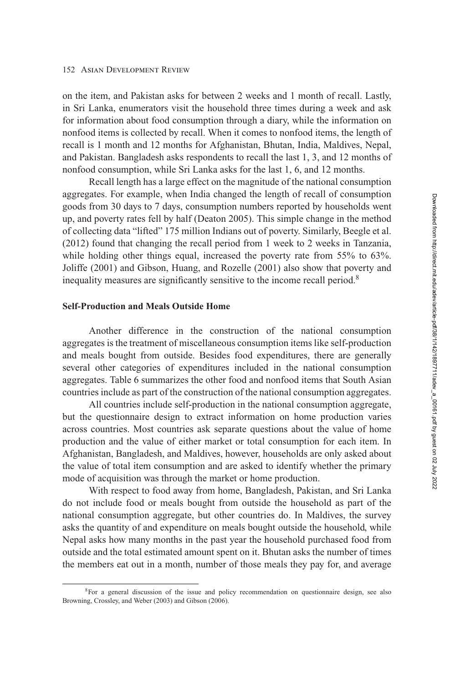on the item, and Pakistan asks for between 2 weeks and 1 month of recall. Lastly, in Sri Lanka, enumerators visit the household three times during a week and ask for information about food consumption through a diary, while the information on nonfood items is collected by recall. When it comes to nonfood items, the length of recall is 1 month and 12 months for Afghanistan, Bhutan, India, Maldives, Nepal, and Pakistan. Bangladesh asks respondents to recall the last 1, 3, and 12 months of nonfood consumption, while Sri Lanka asks for the last 1, 6, and 12 months.

Recall length has a large effect on the magnitude of the national consumption aggregates. For example, when India changed the length of recall of consumption goods from 30 days to 7 days, consumption numbers reported by households went up, and poverty rates fell by half (Deaton [2005\)](#page-30-0). This simple change in the method of collecting data "lifted" 175 million Indians out of poverty. Similarly, Beegle et al. [\(2012\)](#page-30-0) found that changing the recall period from 1 week to 2 weeks in Tanzania, while holding other things equal, increased the poverty rate from 55% to 63%. Joliffe (2001) and Gibson, Huang, and Rozelle [\(2001\)](#page-31-0) also show that poverty and inequality measures are significantly sensitive to the income recall period.<sup>8</sup>

# **Self-Production and Meals Outside Home**

Another difference in the construction of the national consumption aggregates is the treatment of miscellaneous consumption items like self-production and meals bought from outside. Besides food expenditures, there are generally several other categories of expenditures included in the national consumption aggregates. Table [6](#page-11-0) summarizes the other food and nonfood items that South Asian countries include as part of the construction of the national consumption aggregates.

All countries include self-production in the national consumption aggregate, but the questionnaire design to extract information on home production varies across countries. Most countries ask separate questions about the value of home production and the value of either market or total consumption for each item. In Afghanistan, Bangladesh, and Maldives, however, households are only asked about the value of total item consumption and are asked to identify whether the primary mode of acquisition was through the market or home production.

With respect to food away from home, Bangladesh, Pakistan, and Sri Lanka do not include food or meals bought from outside the household as part of the national consumption aggregate, but other countries do. In Maldives, the survey asks the quantity of and expenditure on meals bought outside the household, while Nepal asks how many months in the past year the household purchased food from outside and the total estimated amount spent on it. Bhutan asks the number of times the members eat out in a month, number of those meals they pay for, and average

<sup>8</sup>For a general discussion of the issue and policy recommendation on questionnaire design, see also Browning, Crossley, and Weber [\(2003\)](#page-30-0) and Gibson [\(2006\)](#page-31-0).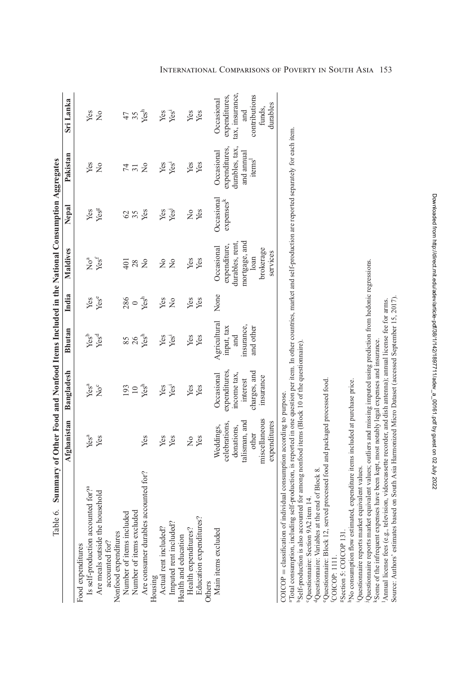<span id="page-11-0"></span>

| $\circ$<br>Table (                                                                                                                                                         | Summary of Other Food and Nonfood Items Included in the National Consumption Aggregates |                  |                  |               |                      |               |                    |                  |
|----------------------------------------------------------------------------------------------------------------------------------------------------------------------------|-----------------------------------------------------------------------------------------|------------------|------------------|---------------|----------------------|---------------|--------------------|------------------|
|                                                                                                                                                                            | Afghanistan                                                                             | Bangladesh       | Bhutan           | India         | Maldives             | Nepal         | Pakistan           | Sri Lanka        |
| Food expenditures                                                                                                                                                          |                                                                                         |                  |                  |               |                      |               |                    |                  |
| Is self-production accounted for? <sup>a</sup>                                                                                                                             | Yes <sup>a</sup>                                                                        | Yes <sup>a</sup> | Yes <sup>b</sup> | Yes           | $\rm\thinspace No^a$ | Yes           | Yes                | Yes              |
| Are meals outside the household                                                                                                                                            | Yes                                                                                     | $\text{No}^c$    | Yesd             | Yese          | Yes <sup>f</sup>     | Yesg          | $\tilde{z}$        | $\frac{1}{2}$    |
| accounted for?                                                                                                                                                             |                                                                                         |                  |                  |               |                      |               |                    |                  |
|                                                                                                                                                                            |                                                                                         |                  |                  |               |                      |               |                    |                  |
| Nonfood expenditures<br>Number of items included                                                                                                                           |                                                                                         | 193              | 85               | 286           | 401                  | $\mathcal{O}$ | 74                 | 47               |
| Number of items excluded                                                                                                                                                   |                                                                                         | $10\,$           | 26               | $\circ$       | 28                   | 35            | $\overline{31}$    | 35 <sub>2</sub>  |
| Are consumer durables accounted for?                                                                                                                                       | Yes                                                                                     | Yesh             | Yesh             | Yesh          | $\frac{1}{2}$        | Yes           | $\frac{1}{2}$      |                  |
|                                                                                                                                                                            |                                                                                         |                  |                  |               |                      |               |                    |                  |
| Housing<br>Actual rent included?<br>Imputed rent included?                                                                                                                 | Yes                                                                                     | Yes              | Yes              | Yes           | $\frac{1}{2}$        | Yes           | Yes                | Yes              |
|                                                                                                                                                                            | Yes                                                                                     | Yes <sup>i</sup> | Yes <sup>i</sup> | $\frac{1}{2}$ | $\tilde{z}$          | Yes           | Yes <sup>1</sup>   | Yes <sup>i</sup> |
| Health and education                                                                                                                                                       |                                                                                         |                  |                  |               |                      |               |                    |                  |
| Health expenditures?                                                                                                                                                       | $\frac{1}{2}$                                                                           | Yes              | Yes              | Yes           | Yes                  | ż             | Yes                | Yes              |
| Education expenditures?                                                                                                                                                    | Yes                                                                                     | Yes              | Yes              | Yes           | Yes                  | Yes           | Yes                | Yes              |
| Others                                                                                                                                                                     |                                                                                         |                  |                  |               |                      |               |                    |                  |
| Main items excluded                                                                                                                                                        | Weddings,                                                                               | Occasional       | Agricultural     | None          | Occasional           | Occasional    | Occasional         | Occasional       |
|                                                                                                                                                                            | celebrations,                                                                           | expenditures.    | input, tax       |               | expenditure,         | expensesk     | expenditures,      | expenditures,    |
|                                                                                                                                                                            | donations,                                                                              | income tax,      | and              |               | durables, rent,      |               | durables, tax,     | tax, insurance,  |
|                                                                                                                                                                            | talisman, and                                                                           | interest         | insurance,       |               | mortgage, and        |               | and annual         | and              |
|                                                                                                                                                                            | other                                                                                   | charges, and     | and other        |               | loan                 |               | items <sup>1</sup> | contributions    |
|                                                                                                                                                                            | miscellaneous                                                                           | msurance         |                  |               | brokerage            |               |                    | funds.           |
|                                                                                                                                                                            | expenditures                                                                            |                  |                  |               | services             |               |                    | durables         |
| COICOP = classification of individual consumption according to purpose.                                                                                                    |                                                                                         |                  |                  |               |                      |               |                    |                  |
| "Total consumption, including self-production, is reported in one question per item. In other countries, market and self-production are reported separately for each item. |                                                                                         |                  |                  |               |                      |               |                    |                  |
| bSelf-production is also accounted for among nonfood items (Block 10 of the questionnaire)<br>Onoutions: Coation A.3:14                                                    |                                                                                         |                  |                  |               |                      |               |                    |                  |

Questionnaire: Section 9A2 item 14. cQuestionnaire: Section 9A2 item 14.

<sup>4</sup>Questionnaire: Variables at the end of Block 8. dQuestionnaire: Variables at the end of Block 8.

"Questionnaire: Block 12, served processed food and packaged processed food. eQuestionnaire: Block 12, served processed food and packaged processed food. <sup>f</sup>COICOP: 1111. fCOICOP: 1111.

<sup>g</sup>Section 5: COICOP 131. gSection 5: COICOP 131.

<sup>h</sup>No consumption flow estimated, expenditure items included at purchase price. hNo consumption flow estimated, expenditure items included at purchase price.

<sup>i</sup>Questionnaire reports market equivalent values. iQuestionnaire reports market equivalent values.

Questionnaire reports market equivalent values; outliers and missing imputed using prediction from hedonic regressions. jQuestionnaire reports market equivalent values; outliers and missing imputed using prediction from hedonic regressions.

Ksome of the infrequent expenses have been kept, most notably legal expenses and insurance. kSome of the infrequent expenses have been kept, most notably legal expenses and insurance.

Source: Authors' estimates based on South Asia Harmonized Micro Dataset (accessed September 15, 2017). Source: Authors' estimates based on South Asia Harmonized Micro Dataset (accessed September 15, 2017). Annual license fees (e.g., television, videocassette recorder, and dish antenna); annual license fee for arms. lAnnual license fees (e.g., television, videocassette recorder, and dish antenna); annual license fee for arms.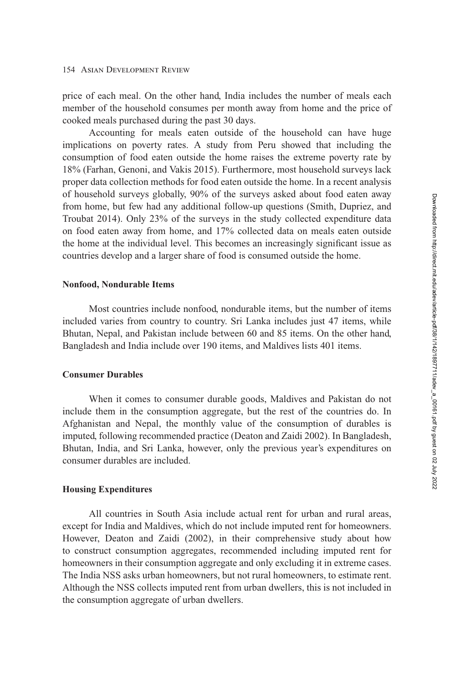price of each meal. On the other hand, India includes the number of meals each member of the household consumes per month away from home and the price of cooked meals purchased during the past 30 days.

Accounting for meals eaten outside of the household can have huge implications on poverty rates. A study from Peru showed that including the consumption of food eaten outside the home raises the extreme poverty rate by 18% (Farhan, Genoni, and Vakis [2015\)](#page-30-0). Furthermore, most household surveys lack proper data collection methods for food eaten outside the home. In a recent analysis of household surveys globally, 90% of the surveys asked about food eaten away from home, but few had any additional follow-up questions (Smith, Dupriez, and Troubat [2014\)](#page-31-0). Only 23% of the surveys in the study collected expenditure data on food eaten away from home, and 17% collected data on meals eaten outside the home at the individual level. This becomes an increasingly significant issue as countries develop and a larger share of food is consumed outside the home.

## **Nonfood, Nondurable Items**

Most countries include nonfood, nondurable items, but the number of items included varies from country to country. Sri Lanka includes just 47 items, while Bhutan, Nepal, and Pakistan include between 60 and 85 items. On the other hand, Bangladesh and India include over 190 items, and Maldives lists 401 items.

# **Consumer Durables**

When it comes to consumer durable goods, Maldives and Pakistan do not include them in the consumption aggregate, but the rest of the countries do. In Afghanistan and Nepal, the monthly value of the consumption of durables is imputed, following recommended practice (Deaton and Zaidi [2002\)](#page-30-0). In Bangladesh, Bhutan, India, and Sri Lanka, however, only the previous year's expenditures on consumer durables are included.

## **Housing Expenditures**

All countries in South Asia include actual rent for urban and rural areas, except for India and Maldives, which do not include imputed rent for homeowners. However, Deaton and Zaidi [\(2002\)](#page-30-0), in their comprehensive study about how to construct consumption aggregates, recommended including imputed rent for homeowners in their consumption aggregate and only excluding it in extreme cases. The India NSS asks urban homeowners, but not rural homeowners, to estimate rent. Although the NSS collects imputed rent from urban dwellers, this is not included in the consumption aggregate of urban dwellers.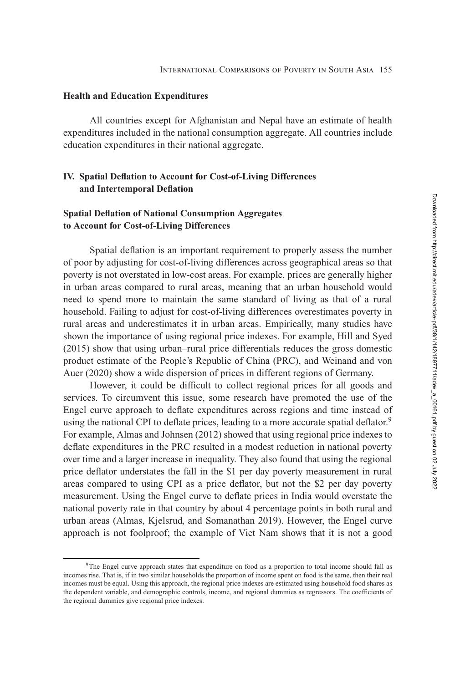## <span id="page-13-0"></span>**Health and Education Expenditures**

All countries except for Afghanistan and Nepal have an estimate of health expenditures included in the national consumption aggregate. All countries include education expenditures in their national aggregate.

# **IV. Spatial Deflation to Account for Cost-of-Living Differences and Intertemporal Deflation**

# **Spatial Deflation of National Consumption Aggregates to Account for Cost-of-Living Differences**

Spatial deflation is an important requirement to properly assess the number of poor by adjusting for cost-of-living differences across geographical areas so that poverty is not overstated in low-cost areas. For example, prices are generally higher in urban areas compared to rural areas, meaning that an urban household would need to spend more to maintain the same standard of living as that of a rural household. Failing to adjust for cost-of-living differences overestimates poverty in rural areas and underestimates it in urban areas. Empirically, many studies have shown the importance of using regional price indexes. For example, Hill and Syed [\(2015\)](#page-31-0) show that using urban–rural price differentials reduces the gross domestic product estimate of the People's Republic of China (PRC), and Weinand and von Auer (2020) show a wide dispersion of prices in different regions of Germany.

However, it could be difficult to collect regional prices for all goods and services. To circumvent this issue, some research have promoted the use of the Engel curve approach to deflate expenditures across regions and time instead of using the national CPI to deflate prices, leading to a more accurate spatial deflator.<sup>9</sup> For example, Almas and Johnsen [\(2012\)](#page-30-0) showed that using regional price indexes to deflate expenditures in the PRC resulted in a modest reduction in national poverty over time and a larger increase in inequality. They also found that using the regional price deflator understates the fall in the \$1 per day poverty measurement in rural areas compared to using CPI as a price deflator, but not the \$2 per day poverty measurement. Using the Engel curve to deflate prices in India would overstate the national poverty rate in that country by about 4 percentage points in both rural and urban areas (Almas, Kjelsrud, and Somanathan [2019\)](#page-30-0). However, the Engel curve approach is not foolproof; the example of Viet Nam shows that it is not a good

<sup>9</sup>The Engel curve approach states that expenditure on food as a proportion to total income should fall as incomes rise. That is, if in two similar households the proportion of income spent on food is the same, then their real incomes must be equal. Using this approach, the regional price indexes are estimated using household food shares as the dependent variable, and demographic controls, income, and regional dummies as regressors. The coefficients of the regional dummies give regional price indexes.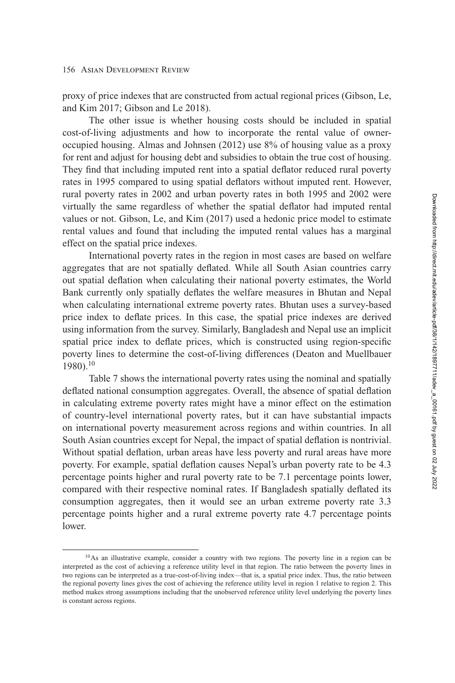proxy of price indexes that are constructed from actual regional prices (Gibson, Le, and Kim [2017;](#page-31-0) Gibson and Le [2018\)](#page-31-0).

The other issue is whether housing costs should be included in spatial cost-of-living adjustments and how to incorporate the rental value of owneroccupied housing. Almas and Johnsen [\(2012\)](#page-30-0) use 8% of housing value as a proxy for rent and adjust for housing debt and subsidies to obtain the true cost of housing. They find that including imputed rent into a spatial deflator reduced rural poverty rates in 1995 compared to using spatial deflators without imputed rent. However, rural poverty rates in 2002 and urban poverty rates in both 1995 and 2002 were virtually the same regardless of whether the spatial deflator had imputed rental values or not. Gibson, Le, and Kim [\(2017\)](#page-31-0) used a hedonic price model to estimate rental values and found that including the imputed rental values has a marginal effect on the spatial price indexes.

International poverty rates in the region in most cases are based on welfare aggregates that are not spatially deflated. While all South Asian countries carry out spatial deflation when calculating their national poverty estimates, the World Bank currently only spatially deflates the welfare measures in Bhutan and Nepal when calculating international extreme poverty rates. Bhutan uses a survey-based price index to deflate prices. In this case, the spatial price indexes are derived using information from the survey. Similarly, Bangladesh and Nepal use an implicit spatial price index to deflate prices, which is constructed using region-specific poverty lines to determine the cost-of-living differences (Deaton and Muellbauer  $1980$ ).<sup>10</sup>

Table [7](#page-15-0) shows the international poverty rates using the nominal and spatially deflated national consumption aggregates. Overall, the absence of spatial deflation in calculating extreme poverty rates might have a minor effect on the estimation of country-level international poverty rates, but it can have substantial impacts on international poverty measurement across regions and within countries. In all South Asian countries except for Nepal, the impact of spatial deflation is nontrivial. Without spatial deflation, urban areas have less poverty and rural areas have more poverty. For example, spatial deflation causes Nepal's urban poverty rate to be 4.3 percentage points higher and rural poverty rate to be 7.1 percentage points lower, compared with their respective nominal rates. If Bangladesh spatially deflated its consumption aggregates, then it would see an urban extreme poverty rate 3.3 percentage points higher and a rural extreme poverty rate 4.7 percentage points lower.

<sup>&</sup>lt;sup>10</sup>As an illustrative example, consider a country with two regions. The poverty line in a region can be interpreted as the cost of achieving a reference utility level in that region. The ratio between the poverty lines in two regions can be interpreted as a true-cost-of-living index—that is, a spatial price index. Thus, the ratio between the regional poverty lines gives the cost of achieving the reference utility level in region 1 relative to region 2. This method makes strong assumptions including that the unobserved reference utility level underlying the poverty lines is constant across regions.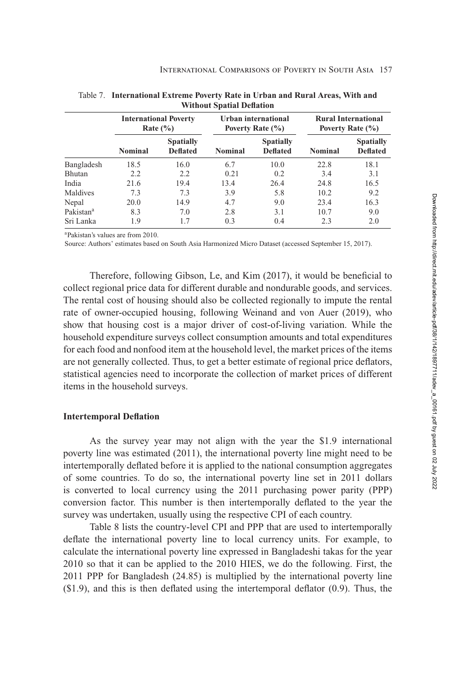|                       |                | <b>International Poverty</b><br>Rate $(\% )$ |                | Urban international<br>Poverty Rate (%) |                | <b>Rural International</b><br>Poverty Rate $(\% )$ |
|-----------------------|----------------|----------------------------------------------|----------------|-----------------------------------------|----------------|----------------------------------------------------|
|                       | <b>Nominal</b> | <b>Spatially</b><br><b>Deflated</b>          | <b>Nominal</b> | <b>Spatially</b><br><b>Deflated</b>     | <b>Nominal</b> | <b>Spatially</b><br><b>Deflated</b>                |
| Bangladesh            | 18.5           | 16.0                                         | 6.7            | 10.0                                    | 22.8           | 18.1                                               |
| Bhutan                | 2.2            | 2.2                                          | 0.21           | 0.2                                     | 3.4            | 3.1                                                |
| India                 | 21.6           | 19.4                                         | 13.4           | 26.4                                    | 24.8           | 16.5                                               |
| Maldives              | 7.3            | 7.3                                          | 3.9            | 5.8                                     | 10.2           | 9.2                                                |
| Nepal                 | 20.0           | 14.9                                         | 4.7            | 9.0                                     | 23.4           | 16.3                                               |
| Pakistan <sup>a</sup> | 8.3            | 7.0                                          | 2.8            | 3.1                                     | 10.7           | 9.0                                                |
| Sri Lanka             | 1.9            | 1.7                                          | 0.3            | 0.4                                     | 2.3            | 2.0                                                |

<span id="page-15-0"></span>Table 7. **International Extreme Poverty Rate in Urban and Rural Areas, With and Without Spatial Deflation**

aPakistan's values are from 2010.

Source: Authors' estimates based on South Asia Harmonized Micro Dataset (accessed September 15, 2017).

Therefore, following Gibson, Le, and Kim [\(2017\)](#page-31-0), it would be beneficial to collect regional price data for different durable and nondurable goods, and services. The rental cost of housing should also be collected regionally to impute the rental rate of owner-occupied housing, following Weinand and von Auer (2019), who show that housing cost is a major driver of cost-of-living variation. While the household expenditure surveys collect consumption amounts and total expenditures for each food and nonfood item at the household level, the market prices of the items are not generally collected. Thus, to get a better estimate of regional price deflators, statistical agencies need to incorporate the collection of market prices of different items in the household surveys.

## **Intertemporal Deflation**

As the survey year may not align with the year the \$1.9 international poverty line was estimated (2011), the international poverty line might need to be intertemporally deflated before it is applied to the national consumption aggregates of some countries. To do so, the international poverty line set in 2011 dollars is converted to local currency using the 2011 purchasing power parity (PPP) conversion factor. This number is then intertemporally deflated to the year the survey was undertaken, usually using the respective CPI of each country.

Table [8](#page-16-0) lists the country-level CPI and PPP that are used to intertemporally deflate the international poverty line to local currency units. For example, to calculate the international poverty line expressed in Bangladeshi takas for the year 2010 so that it can be applied to the 2010 HIES, we do the following. First, the 2011 PPP for Bangladesh (24.85) is multiplied by the international poverty line (\$1.9), and this is then deflated using the intertemporal deflator (0.9). Thus, the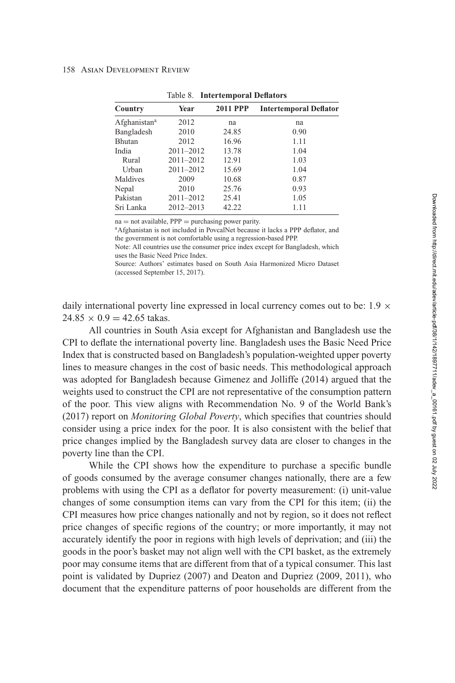<span id="page-16-0"></span>

| Country                  | Year          | <b>2011 PPP</b> | <b>Intertemporal Deflator</b> |
|--------------------------|---------------|-----------------|-------------------------------|
| Afghanistan <sup>a</sup> | 2012          | na              | na                            |
| Bangladesh               | 2010          | 24.85           | 0.90                          |
| <b>Bhutan</b>            | 2012          | 16.96           | 1.11                          |
| India                    | $2011 - 2012$ | 13.78           | 1.04                          |
| Rural                    | $2011 - 2012$ | 12.91           | 1.03                          |
| Urban                    | $2011 - 2012$ | 15.69           | 1.04                          |
| Maldives                 | 2009          | 10.68           | 0.87                          |
| Nepal                    | 2010          | 25.76           | 0.93                          |
| Pakistan                 | $2011 - 2012$ | 25.41           | 1.05                          |
| Sri Lanka                | 2012-2013     | 42.22           | 1.11                          |

Table 8. **Intertemporal Deflators**

na = not available, PPP = purchasing power parity.<br><sup>a</sup>Afghanistan is not included in PovcalNet because it lacks a PPP deflator, and the government is not comfortable using a regression-based PPP.

Note: All countries use the consumer price index except for Bangladesh, which uses the Basic Need Price Index.

Source: Authors' estimates based on South Asia Harmonized Micro Dataset (accessed September 15, 2017).

daily international poverty line expressed in local currency comes out to be:  $1.9 \times$  $24.85 \times 0.9 = 42.65$  takas.

All countries in South Asia except for Afghanistan and Bangladesh use the CPI to deflate the international poverty line. Bangladesh uses the Basic Need Price Index that is constructed based on Bangladesh's population-weighted upper poverty lines to measure changes in the cost of basic needs. This methodological approach was adopted for Bangladesh because Gimenez and Jolliffe [\(2014\)](#page-31-0) argued that the weights used to construct the CPI are not representative of the consumption pattern of the poor. This view aligns with Recommendation No. 9 of the World Bank's (2017) report on *Monitoring Global Poverty*, which specifies that countries should consider using a price index for the poor. It is also consistent with the belief that price changes implied by the Bangladesh survey data are closer to changes in the poverty line than the CPI.

While the CPI shows how the expenditure to purchase a specific bundle of goods consumed by the average consumer changes nationally, there are a few problems with using the CPI as a deflator for poverty measurement: (i) unit-value changes of some consumption items can vary from the CPI for this item; (ii) the CPI measures how price changes nationally and not by region, so it does not reflect price changes of specific regions of the country; or more importantly, it may not accurately identify the poor in regions with high levels of deprivation; and (iii) the goods in the poor's basket may not align well with the CPI basket, as the extremely poor may consume items that are different from that of a typical consumer. This last point is validated by Dupriez [\(2007\)](#page-30-0) and Deaton and Dupriez [\(2009,](#page-30-0) 2011), who document that the expenditure patterns of poor households are different from the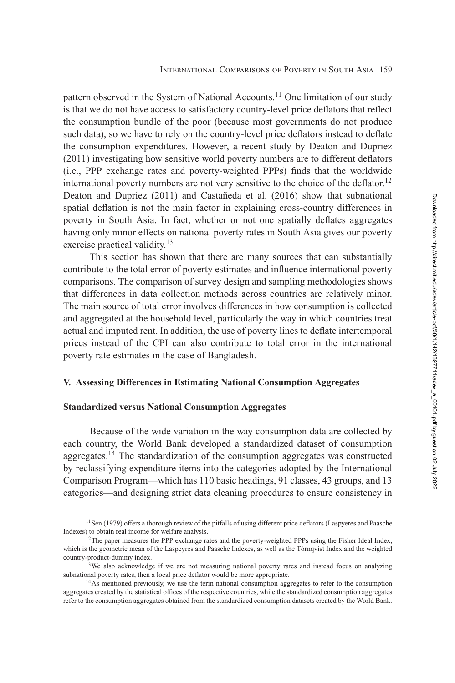<span id="page-17-0"></span>pattern observed in the System of National Accounts.<sup>11</sup> One limitation of our study is that we do not have access to satisfactory country-level price deflators that reflect the consumption bundle of the poor (because most governments do not produce such data), so we have to rely on the country-level price deflators instead to deflate the consumption expenditures. However, a recent study by Deaton and Dupriez [\(2011\)](#page-30-0) investigating how sensitive world poverty numbers are to different deflators (i.e., PPP exchange rates and poverty-weighted PPPs) finds that the worldwide international poverty numbers are not very sensitive to the choice of the deflator.<sup>12</sup> Deaton and Dupriez [\(2011\)](#page-30-0) and Castañeda et al. [\(2016\)](#page-30-0) show that subnational spatial deflation is not the main factor in explaining cross-country differences in poverty in South Asia. In fact, whether or not one spatially deflates aggregates having only minor effects on national poverty rates in South Asia gives our poverty exercise practical validity.<sup>13</sup>

This section has shown that there are many sources that can substantially contribute to the total error of poverty estimates and influence international poverty comparisons. The comparison of survey design and sampling methodologies shows that differences in data collection methods across countries are relatively minor. The main source of total error involves differences in how consumption is collected and aggregated at the household level, particularly the way in which countries treat actual and imputed rent. In addition, the use of poverty lines to deflate intertemporal prices instead of the CPI can also contribute to total error in the international poverty rate estimates in the case of Bangladesh.

## **V. Assessing Differences in Estimating National Consumption Aggregates**

## **Standardized versus National Consumption Aggregates**

Because of the wide variation in the way consumption data are collected by each country, the World Bank developed a standardized dataset of consumption aggregates.<sup>14</sup> The standardization of the consumption aggregates was constructed by reclassifying expenditure items into the categories adopted by the International Comparison Program—which has 110 basic headings, 91 classes, 43 groups, and 13 categories—and designing strict data cleaning procedures to ensure consistency in

<sup>&</sup>lt;sup>11</sup>Sen [\(1979\)](#page-31-0) offers a thorough review of the pitfalls of using different price deflators (Laspyeres and Paasche Indexes) to obtain real income for welfare analysis.

<sup>&</sup>lt;sup>12</sup>The paper measures the PPP exchange rates and the poverty-weighted PPPs using the Fisher Ideal Index, which is the geometric mean of the Laspeyres and Paasche Indexes, as well as the Törnqvist Index and the weighted country-product-dummy index.

<sup>&</sup>lt;sup>13</sup>We also acknowledge if we are not measuring national poverty rates and instead focus on analyzing subnational poverty rates, then a local price deflator would be more appropriate.

<sup>&</sup>lt;sup>14</sup>As mentioned previously, we use the term national consumption aggregates to refer to the consumption aggregates created by the statistical offices of the respective countries, while the standardized consumption aggregates refer to the consumption aggregates obtained from the standardized consumption datasets created by the World Bank.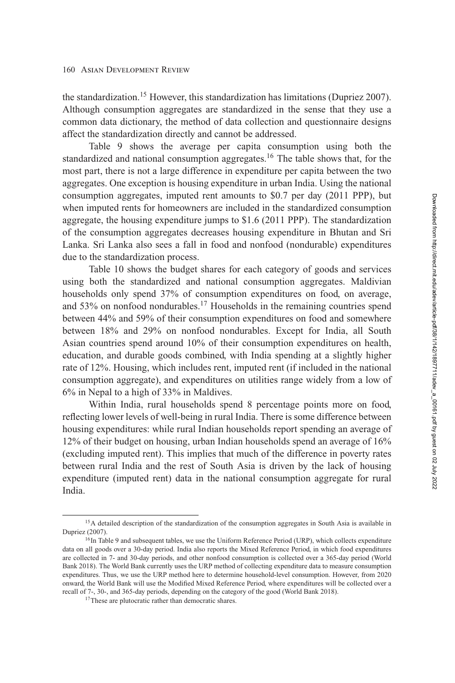the standardization.<sup>15</sup> However, this standardization has limitations (Dupriez 2007). Although consumption aggregates are standardized in the sense that they use a common data dictionary, the method of data collection and questionnaire designs affect the standardization directly and cannot be addressed.

Table [9](#page-19-0) shows the average per capita consumption using both the standardized and national consumption aggregates.<sup>16</sup> The table shows that, for the most part, there is not a large difference in expenditure per capita between the two aggregates. One exception is housing expenditure in urban India. Using the national consumption aggregates, imputed rent amounts to \$0.7 per day (2011 PPP), but when imputed rents for homeowners are included in the standardized consumption aggregate, the housing expenditure jumps to \$1.6 (2011 PPP). The standardization of the consumption aggregates decreases housing expenditure in Bhutan and Sri Lanka. Sri Lanka also sees a fall in food and nonfood (nondurable) expenditures due to the standardization process.

Table [10](#page-20-0) shows the budget shares for each category of goods and services using both the standardized and national consumption aggregates. Maldivian households only spend 37% of consumption expenditures on food, on average, and 53% on nonfood nondurables.<sup>17</sup> Households in the remaining countries spend between 44% and 59% of their consumption expenditures on food and somewhere between 18% and 29% on nonfood nondurables. Except for India, all South Asian countries spend around 10% of their consumption expenditures on health, education, and durable goods combined, with India spending at a slightly higher rate of 12%. Housing, which includes rent, imputed rent (if included in the national consumption aggregate), and expenditures on utilities range widely from a low of 6% in Nepal to a high of 33% in Maldives.

Within India, rural households spend 8 percentage points more on food, reflecting lower levels of well-being in rural India. There is some difference between housing expenditures: while rural Indian households report spending an average of 12% of their budget on housing, urban Indian households spend an average of 16% (excluding imputed rent). This implies that much of the difference in poverty rates between rural India and the rest of South Asia is driven by the lack of housing expenditure (imputed rent) data in the national consumption aggregate for rural India.

<sup>&</sup>lt;sup>15</sup>A detailed description of the standardization of the consumption aggregates in South Asia is available in Dupriez [\(2007\)](#page-30-0).

<sup>&</sup>lt;sup>16</sup>In Table [9](#page-19-0) and subsequent tables, we use the Uniform Reference Period (URP), which collects expenditure data on all goods over a 30-day period. India also reports the Mixed Reference Period, in which food expenditures are collected in 7- and 30-day periods, and other nonfood consumption is collected over a 365-day period (World Bank [2018\)](#page-31-0). The World Bank currently uses the URP method of collecting expenditure data to measure consumption expenditures. Thus, we use the URP method here to determine household-level consumption. However, from 2020 onward, the World Bank will use the Modified Mixed Reference Period, where expenditures will be collected over a recall of 7-, 30-, and 365-day periods, depending on the category of the good (World Bank [2018\)](#page-31-0).

<sup>&</sup>lt;sup>17</sup>These are plutocratic rather than democratic shares.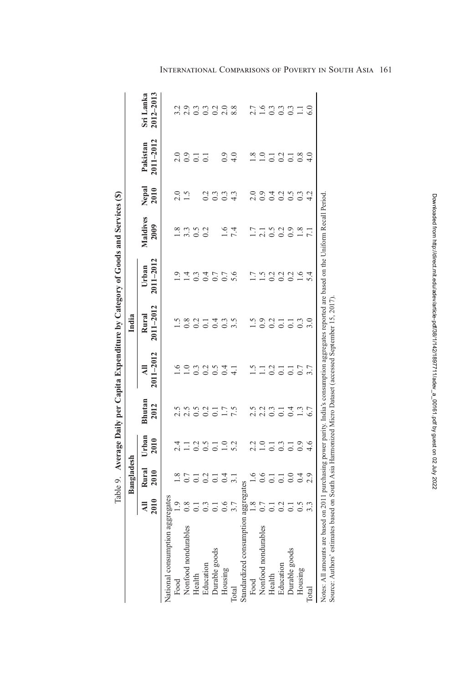| é                                                                         |
|---------------------------------------------------------------------------|
| ı<br>ı<br>۱<br>ا<br>ļ<br>l                                                |
| i                                                                         |
| I                                                                         |
| ė                                                                         |
| I<br>١<br>١<br>I<br>j                                                     |
| ì                                                                         |
| l<br>ı<br>ı<br>I                                                          |
| ļ<br>ľ<br>ζ                                                               |
| ı<br>l<br>۱<br>ï<br>i<br>֖֖֖֖֖֖֧ׅ֖֧֪֚֚֚֚֚֚֚֚֚֚֚֚֚֚֚֚֚֚֚֚֚֚֚֚֚֬֝֓֝֓֞֝֓֬֝֓֬ |
| ļ                                                                         |
| J<br>š<br>ı<br>ĺ<br>l                                                     |
| j<br>ł<br>١<br>i<br>$\vdots$<br>Į<br>ı                                    |

<span id="page-19-0"></span>

|                                                                                                                                                                                                                                                       |                  | Bangladesh       |                   |                         |                                 | India              |                    |                  |                  |                                           |                            |
|-------------------------------------------------------------------------------------------------------------------------------------------------------------------------------------------------------------------------------------------------------|------------------|------------------|-------------------|-------------------------|---------------------------------|--------------------|--------------------|------------------|------------------|-------------------------------------------|----------------------------|
|                                                                                                                                                                                                                                                       | 2010             | Rural<br>2010    | Jrban<br>2010     | Bhutan<br>2012          | $2011 - 2012$<br>$\overline{a}$ | 2011-2012<br>Rural | 2011-2012<br>Urban | Maldives<br>2009 | Nepal<br>2010    | 2011-2012<br>Pakistan                     | Sri Lanka<br>$2012 - 2013$ |
|                                                                                                                                                                                                                                                       |                  |                  |                   |                         |                                 |                    |                    |                  |                  |                                           |                            |
| National consumption aggr                                                                                                                                                                                                                             | egates           |                  |                   |                         |                                 |                    |                    |                  |                  |                                           |                            |
| Food                                                                                                                                                                                                                                                  |                  | $1.8\,$          | 2.4               |                         |                                 |                    |                    |                  |                  |                                           | 3.2                        |
| Nonfood nondurables                                                                                                                                                                                                                                   |                  | 0.7              | $\Box$            |                         | $\overline{1.0}$                | $\frac{8}{10}$     | $\overline{14}$    | 3.3              | $2.5$<br>1.5     | $\begin{array}{c} 0.9 \\ 0.9 \end{array}$ | 2.9                        |
| Health                                                                                                                                                                                                                                                |                  | $\overline{0}$   |                   | $2.5$<br>$0.5$<br>$0.2$ | 0.3                             | 0.2                | 0.3                | $\overline{0.5}$ |                  | $\overline{0}$ .                          |                            |
|                                                                                                                                                                                                                                                       | $0.\overline{3}$ |                  | 0.5               |                         | 0.2                             | $\overline{C}$     | 0.4                | 0.2              | 0.2              | $\overline{C}$                            | $\frac{3}{13}$             |
| Education<br>Durable goods                                                                                                                                                                                                                            |                  | 0.2              | $\overline{0}$ .  | $\overline{0}$ .        | 0.5                             | 0.4                | 0.7                |                  | 0.3              |                                           |                            |
| Housing                                                                                                                                                                                                                                               | 0.6              | 0.4              | $\overline{1.0}$  | $1.7$<br>7.5            |                                 | 0.3                | 0.7                | $9^{11}$         | $0.\overline{3}$ | 0.9                                       | $\frac{0.2}{2.0}$          |
| Total                                                                                                                                                                                                                                                 | 3.7              |                  | 5.2               |                         | $\overline{4.1}$                | 3.5                | 5.6                | 7.4              | 4.3              | $\frac{0}{4}$                             | 8.8                        |
| Standardized consumption aggregates                                                                                                                                                                                                                   |                  |                  |                   |                         |                                 |                    |                    |                  |                  |                                           |                            |
| Food                                                                                                                                                                                                                                                  | 1.8              | $\frac{6}{1}$    | $\frac{2.2}{1.0}$ | 2.5                     | $\tilde{S}$                     | $\tilde{c}$        | $\overline{1}$     | 1.7              |                  | 1.8                                       |                            |
| Nonfood nondurables                                                                                                                                                                                                                                   | 0.7              | 0.6              |                   | $2.2$<br>0.3            | $\Box$                          | 0.9                | $\frac{5}{1}$      | 2.1              | $\frac{0}{0.9}$  | $\overline{1.0}$                          | $2.7$<br>1.6               |
| Health                                                                                                                                                                                                                                                |                  | $\overline{0}$ . |                   |                         | $\approx$                       | 0.2                | 0.2                | 0.5              |                  | 0.1                                       |                            |
| Education                                                                                                                                                                                                                                             |                  | $\overline{0}$ . | $\frac{1}{0.3}$   | $\overline{0}$ .        | $\overline{C}$                  | $\overline{C}$     | 0.2                | 0.2              |                  | 0.2                                       |                            |
| Durable goods                                                                                                                                                                                                                                         |                  | 0.0              | $\overline{0}$    | 0.4                     | $\overline{C}$                  | $\overline{0}$ .   | 0.2                | 0.9              | 0.36             | $\overline{0}$ .                          | 3337.1                     |
| Housing                                                                                                                                                                                                                                               | $\tilde{c}$      | 0.4              | $_{0.9}$          | 1.3                     | 0.7                             | 0.3                | $\frac{6}{1}$      | 1.8              | 0.3              | 0.8                                       |                            |
| Total                                                                                                                                                                                                                                                 |                  |                  |                   | 6.7                     |                                 |                    | 5.4                |                  | 4.2              |                                           |                            |
| Notes: All amounts are based on 2011 purchasing power parity. India's consumption aggregates reported are based on the Uniform Recall Period<br>Source: Authors' estimates based on South Asia Harmonized Micro Dataset (accessed September 15, 2017) |                  |                  |                   |                         |                                 |                    |                    |                  |                  |                                           |                            |

# International Comparisons of Poverty in South Asia 161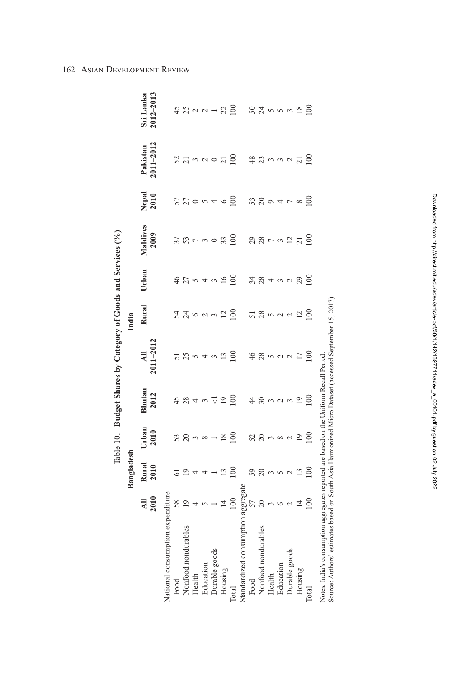<span id="page-20-0"></span>

|                                                                                                                                                                                                 |                             |                            |                          |                   | Table 10. Budget Shares by Category of Goods and Services (%) |                 |                |                          |                |                              |                            |
|-------------------------------------------------------------------------------------------------------------------------------------------------------------------------------------------------|-----------------------------|----------------------------|--------------------------|-------------------|---------------------------------------------------------------|-----------------|----------------|--------------------------|----------------|------------------------------|----------------------------|
|                                                                                                                                                                                                 |                             | Bangladesh                 |                          |                   |                                                               | India           |                |                          |                |                              |                            |
|                                                                                                                                                                                                 | 2010                        | Rural<br>2010              | Urban<br>2010            | Bhutan<br>2012    | $2011 - 2012$<br>$\overline{a}$                               | Rural           | Urban          | Maldives<br>2009         | Nepal<br>2010  | $2011 - 2012$<br>Pakistan    | Sri Lanka<br>2012-2013     |
| National consumption exper                                                                                                                                                                      | ıditure                     |                            |                          |                   |                                                               |                 |                |                          |                |                              |                            |
| Food                                                                                                                                                                                            | 58                          | 5                          |                          |                   |                                                               | 54              | $\frac{4}{6}$  |                          |                |                              | 45                         |
| Nonfood nondurables                                                                                                                                                                             | 19                          | $\overline{19}$            | 52398                    | 28                | 25                                                            | 74000           | 27             | 53                       | 27             | 373000                       | $23$ $\alpha$ $\alpha$ $-$ |
| Health                                                                                                                                                                                          | 4                           | 4                          |                          | 4                 | 5                                                             |                 | $\sim 4$       | $\overline{\phantom{0}}$ | $\circ$        |                              |                            |
|                                                                                                                                                                                                 | 5                           | 4                          |                          | 3                 | 4                                                             |                 |                | $\sim$                   | $\sim$         |                              |                            |
| Education<br>Durable goods                                                                                                                                                                      |                             | ł,                         | $\overline{\phantom{a}}$ | $\overline{\vee}$ | $\mathfrak{g}$                                                |                 | $\mathfrak{g}$ |                          | $\overline{4}$ |                              |                            |
| Housing                                                                                                                                                                                         | $\overline{4}$              | 13                         | 18                       | $\overline{19}$   | 13                                                            | $\overline{c}$  | 16             | 33                       | $\circ$        | $\overline{21}$              | 22                         |
| Total                                                                                                                                                                                           | 100                         | $\frac{100}{2}$            | $\overline{100}$         | $\frac{8}{100}$   | $\frac{8}{100}$                                               | $\frac{8}{1}$   | $\approx$      | $\overline{100}$         | $\approx$      | $\approx$                    | $\approx$                  |
| Standardized consumption a                                                                                                                                                                      | ggregate                    |                            |                          |                   |                                                               |                 |                |                          |                |                              |                            |
| Food                                                                                                                                                                                            | 57                          | 59                         |                          | 4                 | $\frac{6}{5}$                                                 |                 | 34             |                          | 53             | 48                           |                            |
| Nonfood nondurables                                                                                                                                                                             | $\overline{c}$              | $\overline{c}$             | 52                       | $30\,$            | 28                                                            | 28              | 28             | 29                       | $\Omega$       |                              | $524$ mm                   |
| Health                                                                                                                                                                                          |                             |                            |                          | $\mathfrak{S}$    | $\sim$                                                        |                 | $\overline{4}$ | $\overline{ }$           | $\circ$        |                              |                            |
| Education                                                                                                                                                                                       |                             | $\omega$ $\omega$ $\omega$ | $m \propto \gamma$       | $\sim$            | $\sim$ $\sim$                                                 | 522             | $\frac{3}{2}$  | $\mathfrak{g}$           | $\overline{4}$ | $\frac{23}{10}$ m m $\alpha$ |                            |
| Durable goods                                                                                                                                                                                   | $m \circ n \nightharpoonup$ |                            |                          | $\mathfrak{g}$    |                                                               |                 |                | $\frac{2}{21}$           | $\overline{ }$ |                              |                            |
| Housing                                                                                                                                                                                         |                             | 13                         | 19                       | $\overline{1}$    | 17                                                            | $\overline{12}$ | 29             |                          | $\infty$       | $\overline{c}$               | $\overline{8}$             |
| Total                                                                                                                                                                                           | $\approx 0$                 | 100                        | $\Xi$                    | $\epsilon$        | g                                                             | $\epsilon$      | $\Xi$          | $\geq$                   | $\epsilon$     | $\epsilon$                   | $\infty$                   |
| Source: Authors' estimates based on South Asia Harmonized Micro Dataset (accessed September 15, 2017).<br>Notes: India's consumption aggregates reported are based on the Uniform Recall Period |                             |                            |                          |                   |                                                               |                 |                |                          |                |                              |                            |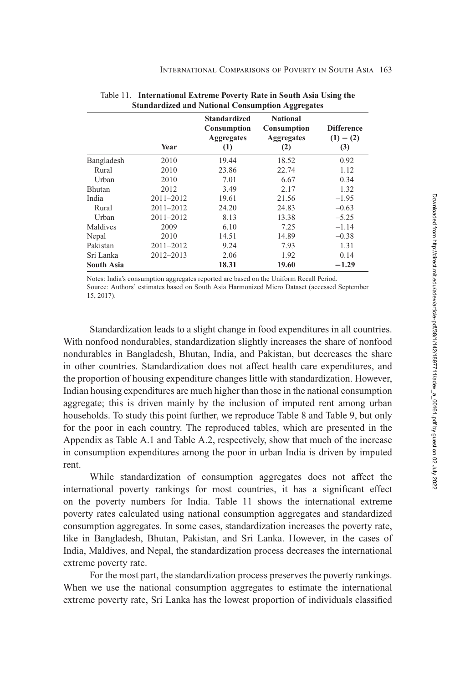|               | Year          | <b>Standardized</b><br><b>Consumption</b><br><b>Aggregates</b><br>(1) | <b>National</b><br><b>Consumption</b><br><b>Aggregates</b><br>(2) | <b>Difference</b><br>$(1) - (2)$<br>(3) |
|---------------|---------------|-----------------------------------------------------------------------|-------------------------------------------------------------------|-----------------------------------------|
| Bangladesh    | 2010          | 19.44                                                                 | 18.52                                                             | 0.92                                    |
| Rural         | 2010          | 23.86                                                                 | 22.74                                                             | 1.12                                    |
| Urban         | 2010          | 7.01                                                                  | 6.67                                                              | 0.34                                    |
| <b>Bhutan</b> | 2012          | 3.49                                                                  | 2.17                                                              | 1.32                                    |
| India         | $2011 - 2012$ | 19.61                                                                 | 21.56                                                             | $-1.95$                                 |
| Rural         | $2011 - 2012$ | 24.20                                                                 | 24.83                                                             | $-0.63$                                 |
| Urban         | $2011 - 2012$ | 8.13                                                                  | 13.38                                                             | $-5.25$                                 |
| Maldives      | 2009          | 6.10                                                                  | 7.25                                                              | $-1.14$                                 |
| Nepal         | 2010          | 14.51                                                                 | 14.89                                                             | $-0.38$                                 |
| Pakistan      | $2011 - 2012$ | 9.24                                                                  | 7.93                                                              | 1.31                                    |
| Sri Lanka     | 2012-2013     | 2.06                                                                  | 1.92                                                              | 0.14                                    |
| South Asia    |               | 18.31                                                                 | 19.60                                                             | $-1.29$                                 |

| Table 11. International Extreme Poverty Rate in South Asia Using the |
|----------------------------------------------------------------------|
| <b>Standardized and National Consumption Aggregates</b>              |

Notes: India's consumption aggregates reported are based on the Uniform Recall Period. Source: Authors' estimates based on South Asia Harmonized Micro Dataset (accessed September 15, 2017).

Standardization leads to a slight change in food expenditures in all countries. With nonfood nondurables, standardization slightly increases the share of nonfood nondurables in Bangladesh, Bhutan, India, and Pakistan, but decreases the share in other countries. Standardization does not affect health care expenditures, and the proportion of housing expenditure changes little with standardization. However, Indian housing expenditures are much higher than those in the national consumption aggregate; this is driven mainly by the inclusion of imputed rent among urban households. To study this point further, we reproduce Table [8](#page-16-0) and Table [9,](#page-19-0) but only for the poor in each country. The reproduced tables, which are presented in the Appendix as [Table A.1](#page-32-0) and [Table A.2,](#page-33-0) respectively, show that much of the increase in consumption expenditures among the poor in urban India is driven by imputed rent.

While standardization of consumption aggregates does not affect the international poverty rankings for most countries, it has a significant effect on the poverty numbers for India. Table 11 shows the international extreme poverty rates calculated using national consumption aggregates and standardized consumption aggregates. In some cases, standardization increases the poverty rate, like in Bangladesh, Bhutan, Pakistan, and Sri Lanka. However, in the cases of India, Maldives, and Nepal, the standardization process decreases the international extreme poverty rate.

For the most part, the standardization process preserves the poverty rankings. When we use the national consumption aggregates to estimate the international extreme poverty rate, Sri Lanka has the lowest proportion of individuals classified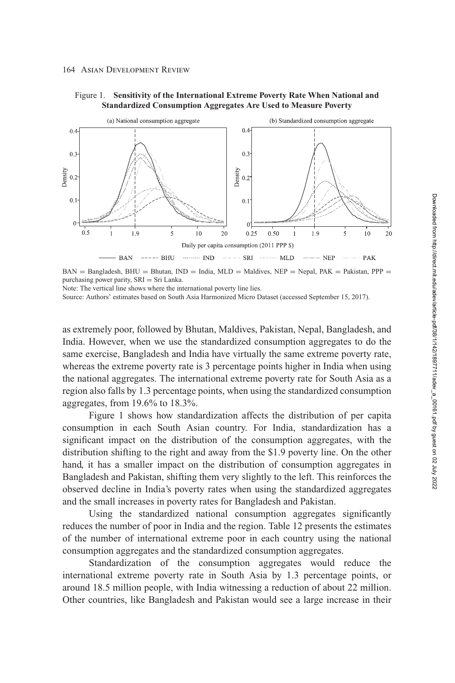



 $BAN =$  Bangladesh,  $BHU = Bhutan$ ,  $IND = India$ ,  $MLD =$  Maldives,  $NEP =$  Nepal,  $PAK =$  Pakistan,  $PPP =$ purchasing power parity, SRI = Sri Lanka.

Note: The vertical line shows where the international poverty line lies.

Source: Authors' estimates based on South Asia Harmonized Micro Dataset (accessed September 15, 2017).

as extremely poor, followed by Bhutan, Maldives, Pakistan, Nepal, Bangladesh, and India. However, when we use the standardized consumption aggregates to do the same exercise, Bangladesh and India have virtually the same extreme poverty rate, whereas the extreme poverty rate is 3 percentage points higher in India when using the national aggregates. The international extreme poverty rate for South Asia as a region also falls by 1.3 percentage points, when using the standardized consumption aggregates, from 19.6% to 18.3%.

Figure 1 shows how standardization affects the distribution of per capita consumption in each South Asian country. For India, standardization has a significant impact on the distribution of the consumption aggregates, with the distribution shifting to the right and away from the \$1.9 poverty line. On the other hand, it has a smaller impact on the distribution of consumption aggregates in Bangladesh and Pakistan, shifting them very slightly to the left. This reinforces the observed decline in India's poverty rates when using the standardized aggregates and the small increases in poverty rates for Bangladesh and Pakistan.

Using the standardized national consumption aggregates significantly reduces the number of poor in India and the region. Table [12](#page-23-0) presents the estimates of the number of international extreme poor in each country using the national consumption aggregates and the standardized consumption aggregates.

Standardization of the consumption aggregates would reduce the international extreme poverty rate in South Asia by 1.3 percentage points, or around 18.5 million people, with India witnessing a reduction of about 22 million. Other countries, like Bangladesh and Pakistan would see a large increase in their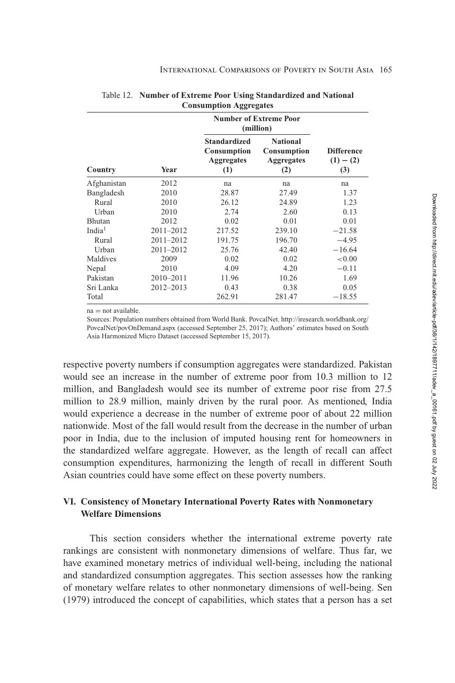|                    |               |                                                                | <b>Number of Extreme Poor</b><br>(million)                 |                                         |
|--------------------|---------------|----------------------------------------------------------------|------------------------------------------------------------|-----------------------------------------|
| Country            | Year          | <b>Standardized</b><br>Consumption<br><b>Aggregates</b><br>(1) | <b>National</b><br>Consumption<br><b>Aggregates</b><br>(2) | <b>Difference</b><br>$(1) - (2)$<br>(3) |
| Afghanistan        | 2012          | na                                                             | na                                                         | na                                      |
| Bangladesh         | 2010          | 28.87                                                          | 27.49                                                      | 1.37                                    |
| Rural              | 2010          | 26.12                                                          | 24.89                                                      | 1.23                                    |
| Urban              | 2010          | 2.74                                                           | 2.60                                                       | 0.13                                    |
| Bhutan             | 2012          | 0.02                                                           | 0.01                                                       | 0.01                                    |
| India <sup>1</sup> | $2011 - 2012$ | 217.52                                                         | 239.10                                                     | $-21.58$                                |
| Rural              | 2011-2012     | 191.75                                                         | 196.70                                                     | $-4.95$                                 |
| Urban              | 2011-2012     | 25.76                                                          | 42.40                                                      | $-16.64$                                |
| Maldives           | 2009          | 0.02                                                           | 0.02                                                       | ${<}0.00$                               |
| Nepal              | 2010          | 4.09                                                           | 4.20                                                       | $-0.11$                                 |
| Pakistan           | 2010-2011     | 11.96                                                          | 10.26                                                      | 1.69                                    |
| Sri Lanka          | 2012-2013     | 0.43                                                           | 0.38                                                       | 0.05                                    |
| Total              |               | 262.91                                                         | 281.47                                                     | $-18.55$                                |

<span id="page-23-0"></span>

| Table 12. Number of Extreme Poor Using Standardized and National |
|------------------------------------------------------------------|
| <b>Consumption Aggregates</b>                                    |

 $na = not available.$ 

Sources: Population numbers obtained from World Bank. PovcalNet. http://iresearch.worldbank.org/ [PovcalNet/povOnDemand.aspx \(accessed September 25, 2017\); Authors' estimates based on South](http://iresearch.worldbank.org/PovcalNet/povOnDemand.aspx) Asia Harmonized Micro Dataset (accessed September 15, 2017).

respective poverty numbers if consumption aggregates were standardized. Pakistan would see an increase in the number of extreme poor from 10.3 million to 12 million, and Bangladesh would see its number of extreme poor rise from 27.5 million to 28.9 million, mainly driven by the rural poor. As mentioned, India would experience a decrease in the number of extreme poor of about 22 million nationwide. Most of the fall would result from the decrease in the number of urban poor in India, due to the inclusion of imputed housing rent for homeowners in the standardized welfare aggregate. However, as the length of recall can affect consumption expenditures, harmonizing the length of recall in different South Asian countries could have some effect on these poverty numbers.

# **VI. Consistency of Monetary International Poverty Rates with Nonmonetary Welfare Dimensions**

This section considers whether the international extreme poverty rate rankings are consistent with nonmonetary dimensions of welfare. Thus far, we have examined monetary metrics of individual well-being, including the national and standardized consumption aggregates. This section assesses how the ranking of monetary welfare relates to other nonmonetary dimensions of well-being. Sen [\(1979\)](#page-31-0) introduced the concept of capabilities, which states that a person has a set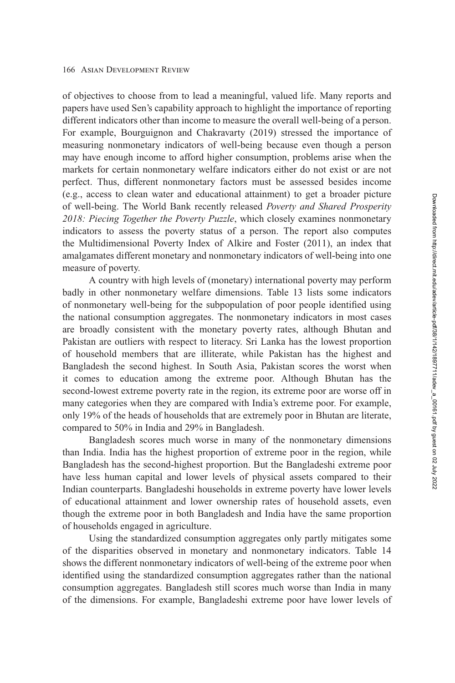of objectives to choose from to lead a meaningful, valued life. Many reports and papers have used Sen's capability approach to highlight the importance of reporting different indicators other than income to measure the overall well-being of a person. For example, Bourguignon and Chakravarty [\(2019\)](#page-30-0) stressed the importance of measuring nonmonetary indicators of well-being because even though a person may have enough income to afford higher consumption, problems arise when the markets for certain nonmonetary welfare indicators either do not exist or are not perfect. Thus, different nonmonetary factors must be assessed besides income (e.g., access to clean water and educational attainment) to get a broader picture of well-being. The World Bank recently released *Poverty and Shared Prosperity 2018: Piecing Together the Poverty Puzzle*, which closely examines nonmonetary indicators to assess the poverty status of a person. The report also computes the Multidimensional Poverty Index of Alkire and Foster [\(2011\)](#page-30-0), an index that amalgamates different monetary and nonmonetary indicators of well-being into one measure of poverty.

A country with high levels of (monetary) international poverty may perform badly in other nonmonetary welfare dimensions. Table [13](#page-25-0) lists some indicators of nonmonetary well-being for the subpopulation of poor people identified using the national consumption aggregates. The nonmonetary indicators in most cases are broadly consistent with the monetary poverty rates, although Bhutan and Pakistan are outliers with respect to literacy. Sri Lanka has the lowest proportion of household members that are illiterate, while Pakistan has the highest and Bangladesh the second highest. In South Asia, Pakistan scores the worst when it comes to education among the extreme poor. Although Bhutan has the second-lowest extreme poverty rate in the region, its extreme poor are worse off in many categories when they are compared with India's extreme poor. For example, only 19% of the heads of households that are extremely poor in Bhutan are literate, compared to 50% in India and 29% in Bangladesh.

Bangladesh scores much worse in many of the nonmonetary dimensions than India. India has the highest proportion of extreme poor in the region, while Bangladesh has the second-highest proportion. But the Bangladeshi extreme poor have less human capital and lower levels of physical assets compared to their Indian counterparts. Bangladeshi households in extreme poverty have lower levels of educational attainment and lower ownership rates of household assets, even though the extreme poor in both Bangladesh and India have the same proportion of households engaged in agriculture.

Using the standardized consumption aggregates only partly mitigates some of the disparities observed in monetary and nonmonetary indicators. Table [14](#page-26-0) shows the different nonmonetary indicators of well-being of the extreme poor when identified using the standardized consumption aggregates rather than the national consumption aggregates. Bangladesh still scores much worse than India in many of the dimensions. For example, Bangladeshi extreme poor have lower levels of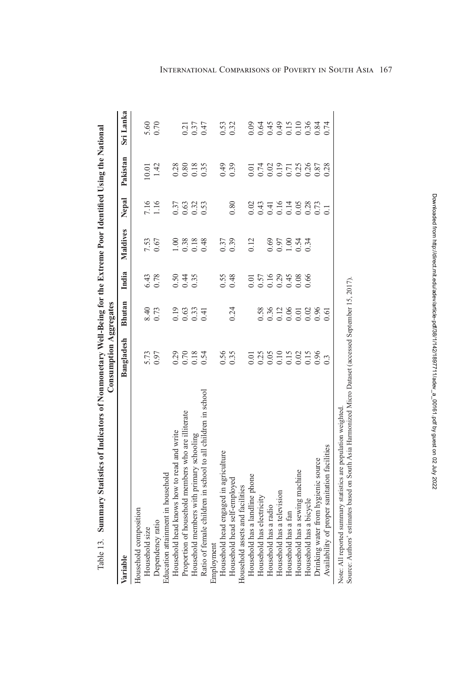<span id="page-25-0"></span>

| Summary Statistics of Indicators of Nonmonetary Well-Being for the Extreme Poor Identified Using the National<br>Table 13. | <b>Consumption Aggregates</b> |               |       |          |                       |                              |                  |
|----------------------------------------------------------------------------------------------------------------------------|-------------------------------|---------------|-------|----------|-----------------------|------------------------------|------------------|
| Variable                                                                                                                   | Bangladesh                    | <b>Bhutan</b> | India | Maldives | Nepal                 | Pakistan                     | Sri Lanka        |
| Household composition                                                                                                      |                               |               |       |          |                       |                              |                  |
| Household size                                                                                                             | 5.73                          | 8.40          | 6.43  | 7.53     | 7.16                  | 10.01                        | 5.60             |
| Dependency ratio                                                                                                           | 0.97                          | 0.73          | 0.78  | 0.67     | 1.16                  | 1.42                         | 0.70             |
| Education attainment in household                                                                                          |                               |               |       |          |                       |                              |                  |
| Household head knows how to read and write                                                                                 | 0.29                          | 0.19          | 0.50  | 1.00     | 0.37                  | 0.28                         |                  |
| Proportion of household members who are illiterate                                                                         | 0.70                          | 0.63          | 0.44  | 0.38     | 0.63                  | 0.80                         | 0.21             |
| Household members with primary schooling                                                                                   | 0.18                          | 0.33          | 0.35  | 0.18     | 0.32                  | 0.18                         | 0.37             |
| Ratio of female children in school to all children in school                                                               | 0.54                          | 0.41          |       | 0.48     | 0.53                  | 0.35                         | 0.47             |
| Employment                                                                                                                 |                               |               |       |          |                       |                              |                  |
| Household head engaged in agriculture                                                                                      | 0.56                          |               | 0.55  | 0.37     |                       | 0.49                         | 0.53             |
| Household head self-employed                                                                                               | 0.35                          | 0.24          | 0.48  | 0.39     | 0.80                  | 0.39                         | 0.32             |
| Household assets and facilities                                                                                            |                               |               |       |          |                       |                              |                  |
| Household has a landline phone                                                                                             | 0.01                          |               | 0.01  | 0.12     | 0.02                  | 0.01                         | 0.09             |
| Household has electricity                                                                                                  | 0.25                          | 0.58          | 0.57  |          | 0.43                  | 0.74                         | 0.64             |
| Household has a radio                                                                                                      | 0.05                          | 0.36          | 0.16  | 0.69     |                       |                              | 0.45             |
| Household has a television                                                                                                 | 0.10                          | 0.12          | 0.29  | 0.97     |                       |                              | 64.0             |
| Household has a fan                                                                                                        | 0.15                          | 0.06          | 0.45  | 1.00     | 416146028<br>0.146028 | 0.02<br>0.07<br>0.02<br>0.02 | $0.15$<br>$0.10$ |
| Household has a sewing machine                                                                                             | 0.02                          | 0.01          | 0.08  | 0.54     |                       |                              |                  |
| Household has a bicycle                                                                                                    | 0.15                          | 0.02          | 0.66  | 0.34     |                       |                              | 0.36             |
| Drinking water from hygienic source                                                                                        | 0.96                          | 0.96          |       |          |                       | 0.87                         | 0.84             |
| Availability of proper sanitation facilities                                                                               | $0.\overline{3}$              | 0.61          |       |          | $\overline{0}$ .      | 0.28                         | 0.74             |
| Note: All reported summary statistics are population weighted                                                              |                               |               |       |          |                       |                              |                  |

Source: Authors' estimates based on South Asia Harmonized Micro Dataset (accessed September 15, 2017). Source: Authors' estimates based on South Asia Harmonized Micro Dataset (accessed September 15, 2017).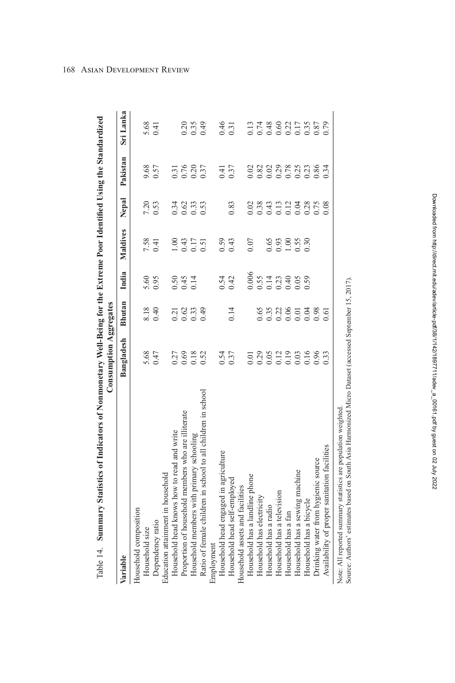|                                                                                                                                                                          | <b>Consumption Aggregates</b> |               |       |          |                                                     |                      |                  |
|--------------------------------------------------------------------------------------------------------------------------------------------------------------------------|-------------------------------|---------------|-------|----------|-----------------------------------------------------|----------------------|------------------|
| Variable                                                                                                                                                                 | Bangladesh                    | <b>Bhutan</b> | India | Maldives | Nepal                                               | Pakistan             | Sri Lanka        |
| Household composition                                                                                                                                                    |                               |               |       |          |                                                     |                      |                  |
| Household size                                                                                                                                                           | 5.68                          | 8.18          | 5.60  | 7.58     | 7.20                                                | 9.68                 | 5.68             |
| Dependency ratio                                                                                                                                                         | 0.47                          | 0.40          | 0.95  | 0.41     | 0.53                                                | 0.57                 | 0.41             |
| Education attainment in household                                                                                                                                        |                               |               |       |          |                                                     |                      |                  |
| Household head knows how to read and write                                                                                                                               | 0.27                          | 0.21          | 0.50  | 1.00     | 0.34                                                | 0.31                 |                  |
| Proportion of household members who are illiterate                                                                                                                       | 0.69                          | 0.62          | 0.45  | 0.43     | 0.62                                                | 0.76                 | 0.20             |
| Household members with primary schooling                                                                                                                                 | 0.18                          | 0.33          | 0.14  | 0.17     | 0.33                                                | 0.20                 | 0.35             |
| Ratio of female children in school to all children in school                                                                                                             | 0.52                          | 0.49          |       | 0.51     | 0.53                                                | 0.37                 | 0.49             |
| Employment                                                                                                                                                               |                               |               |       |          |                                                     |                      |                  |
| Household head engaged in agriculture                                                                                                                                    | 0.54                          |               | 0.54  | 0.59     |                                                     | 0.41                 | 0.46             |
| Household head self-employed                                                                                                                                             | 0.37                          | 0.14          | 0.42  | 0.43     | 0.83                                                | 0.37                 | 0.31             |
| Household assets and facilities                                                                                                                                          |                               |               |       |          |                                                     |                      |                  |
| Household has a landline phone                                                                                                                                           | 0.01                          |               | 0.006 | 0.07     | 0.02                                                | 0.02                 | 0.13             |
| Household has electricity                                                                                                                                                | 0.29                          | 0.65          | 0.55  |          | 0.38                                                | 0.82                 | 0.74             |
| Household has a radio                                                                                                                                                    | 0.05                          | 0.35          | 0.14  | 0.65     | 0.43                                                | 0.02                 | 0.48             |
| Household has a television                                                                                                                                               | 0.12                          | 0.22          | 0.23  | 0.93     |                                                     |                      | 0.60             |
| Household has a fan                                                                                                                                                      | 0.19                          | 0.06          | 0.40  | 1.00     | $\begin{array}{c} 0.13 \\ 0.12 \\ 0.04 \end{array}$ | 0.29<br>0.78<br>0.25 | $0.22$<br>$0.17$ |
| Household has a sewing machine                                                                                                                                           | 0.03                          | 0.01          | 0.05  | 0.55     |                                                     |                      |                  |
| Household has a bicycle                                                                                                                                                  | 0.16                          | 0.04          | 0.59  | 0.30     | 0.28                                                | 0.23                 | 0.35             |
| Drinking water from hygienic source                                                                                                                                      | 0.96                          | 0.98          |       |          | 0.75                                                | 0.86                 | 0.87             |
| Availability of proper sanitation facilities                                                                                                                             | 0.33                          | 0.61          |       |          | 0.08                                                | 0.34                 | 0.79             |
| Source: Authors' estimates based on South Asia Harmonized Micro Dataset (accessed September 15, 2017).<br>Note: All reported summary statistics are population weighted. |                               |               |       |          |                                                     |                      |                  |

Table 14. Summary Statistics of Indicators of Nonmonetary Well-Being for the Extreme Poor Identified Using the Standardized č Ë Š È É É þ È EN. Ė đ d  $T_0$ kla $14$ 

<span id="page-26-0"></span>168 Asian Development Review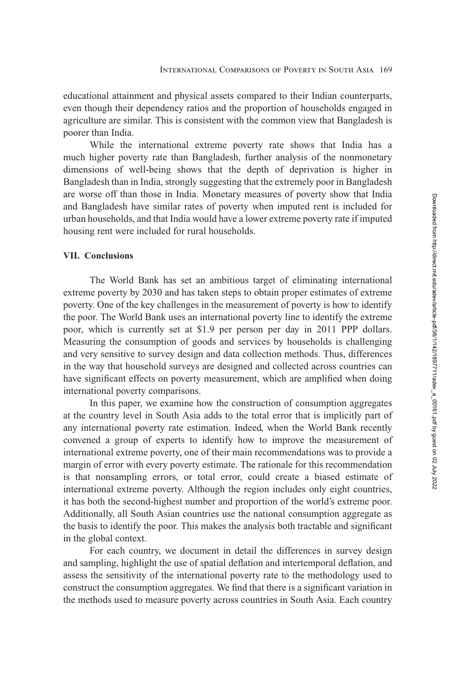<span id="page-27-0"></span>educational attainment and physical assets compared to their Indian counterparts, even though their dependency ratios and the proportion of households engaged in agriculture are similar. This is consistent with the common view that Bangladesh is poorer than India.

While the international extreme poverty rate shows that India has a much higher poverty rate than Bangladesh, further analysis of the nonmonetary dimensions of well-being shows that the depth of deprivation is higher in Bangladesh than in India, strongly suggesting that the extremely poor in Bangladesh are worse off than those in India. Monetary measures of poverty show that India and Bangladesh have similar rates of poverty when imputed rent is included for urban households, and that India would have a lower extreme poverty rate if imputed housing rent were included for rural households.

## **VII. Conclusions**

The World Bank has set an ambitious target of eliminating international extreme poverty by 2030 and has taken steps to obtain proper estimates of extreme poverty. One of the key challenges in the measurement of poverty is how to identify the poor. The World Bank uses an international poverty line to identify the extreme poor, which is currently set at \$1.9 per person per day in 2011 PPP dollars. Measuring the consumption of goods and services by households is challenging and very sensitive to survey design and data collection methods. Thus, differences in the way that household surveys are designed and collected across countries can have significant effects on poverty measurement, which are amplified when doing international poverty comparisons.

In this paper, we examine how the construction of consumption aggregates at the country level in South Asia adds to the total error that is implicitly part of any international poverty rate estimation. Indeed, when the World Bank recently convened a group of experts to identify how to improve the measurement of international extreme poverty, one of their main recommendations was to provide a margin of error with every poverty estimate. The rationale for this recommendation is that nonsampling errors, or total error, could create a biased estimate of international extreme poverty. Although the region includes only eight countries, it has both the second-highest number and proportion of the world's extreme poor. Additionally, all South Asian countries use the national consumption aggregate as the basis to identify the poor. This makes the analysis both tractable and significant in the global context.

For each country, we document in detail the differences in survey design and sampling, highlight the use of spatial deflation and intertemporal deflation, and assess the sensitivity of the international poverty rate to the methodology used to construct the consumption aggregates. We find that there is a significant variation in the methods used to measure poverty across countries in South Asia. Each country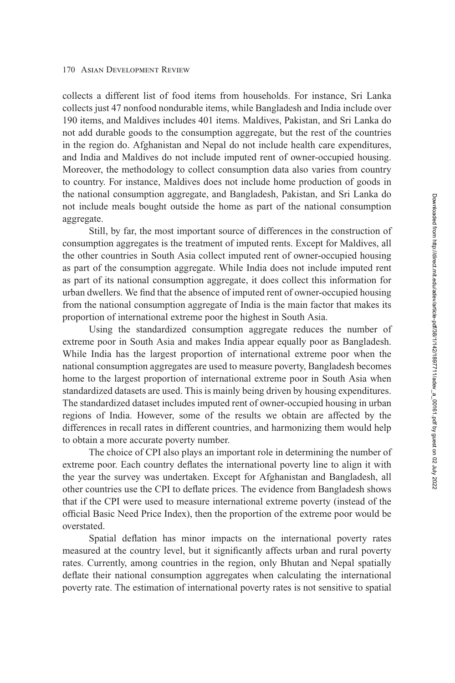collects a different list of food items from households. For instance, Sri Lanka collects just 47 nonfood nondurable items, while Bangladesh and India include over 190 items, and Maldives includes 401 items. Maldives, Pakistan, and Sri Lanka do not add durable goods to the consumption aggregate, but the rest of the countries in the region do. Afghanistan and Nepal do not include health care expenditures, and India and Maldives do not include imputed rent of owner-occupied housing. Moreover, the methodology to collect consumption data also varies from country to country. For instance, Maldives does not include home production of goods in the national consumption aggregate, and Bangladesh, Pakistan, and Sri Lanka do not include meals bought outside the home as part of the national consumption aggregate.

Still, by far, the most important source of differences in the construction of consumption aggregates is the treatment of imputed rents. Except for Maldives, all the other countries in South Asia collect imputed rent of owner-occupied housing as part of the consumption aggregate. While India does not include imputed rent as part of its national consumption aggregate, it does collect this information for urban dwellers. We find that the absence of imputed rent of owner-occupied housing from the national consumption aggregate of India is the main factor that makes its proportion of international extreme poor the highest in South Asia.

Using the standardized consumption aggregate reduces the number of extreme poor in South Asia and makes India appear equally poor as Bangladesh. While India has the largest proportion of international extreme poor when the national consumption aggregates are used to measure poverty, Bangladesh becomes home to the largest proportion of international extreme poor in South Asia when standardized datasets are used. This is mainly being driven by housing expenditures. The standardized dataset includes imputed rent of owner-occupied housing in urban regions of India. However, some of the results we obtain are affected by the differences in recall rates in different countries, and harmonizing them would help to obtain a more accurate poverty number.

The choice of CPI also plays an important role in determining the number of extreme poor. Each country deflates the international poverty line to align it with the year the survey was undertaken. Except for Afghanistan and Bangladesh, all other countries use the CPI to deflate prices. The evidence from Bangladesh shows that if the CPI were used to measure international extreme poverty (instead of the official Basic Need Price Index), then the proportion of the extreme poor would be overstated.

Spatial deflation has minor impacts on the international poverty rates measured at the country level, but it significantly affects urban and rural poverty rates. Currently, among countries in the region, only Bhutan and Nepal spatially deflate their national consumption aggregates when calculating the international poverty rate. The estimation of international poverty rates is not sensitive to spatial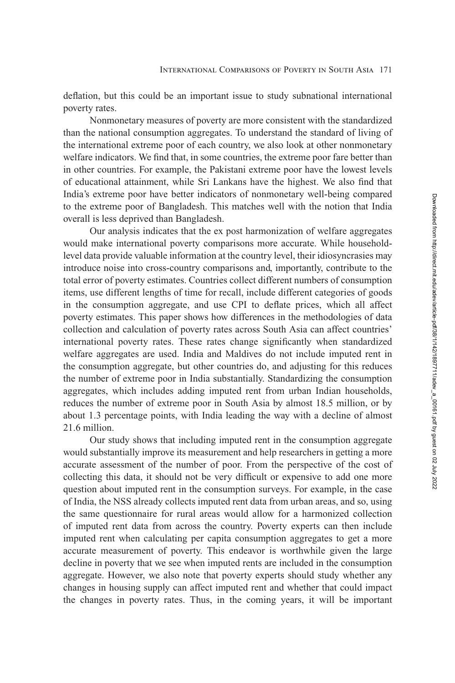deflation, but this could be an important issue to study subnational international poverty rates.

Nonmonetary measures of poverty are more consistent with the standardized than the national consumption aggregates. To understand the standard of living of the international extreme poor of each country, we also look at other nonmonetary welfare indicators. We find that, in some countries, the extreme poor fare better than in other countries. For example, the Pakistani extreme poor have the lowest levels of educational attainment, while Sri Lankans have the highest. We also find that India's extreme poor have better indicators of nonmonetary well-being compared to the extreme poor of Bangladesh. This matches well with the notion that India overall is less deprived than Bangladesh.

Our analysis indicates that the ex post harmonization of welfare aggregates would make international poverty comparisons more accurate. While householdlevel data provide valuable information at the country level, their idiosyncrasies may introduce noise into cross-country comparisons and, importantly, contribute to the total error of poverty estimates. Countries collect different numbers of consumption items, use different lengths of time for recall, include different categories of goods in the consumption aggregate, and use CPI to deflate prices, which all affect poverty estimates. This paper shows how differences in the methodologies of data collection and calculation of poverty rates across South Asia can affect countries' international poverty rates. These rates change significantly when standardized welfare aggregates are used. India and Maldives do not include imputed rent in the consumption aggregate, but other countries do, and adjusting for this reduces the number of extreme poor in India substantially. Standardizing the consumption aggregates, which includes adding imputed rent from urban Indian households, reduces the number of extreme poor in South Asia by almost 18.5 million, or by about 1.3 percentage points, with India leading the way with a decline of almost 21.6 million.

Our study shows that including imputed rent in the consumption aggregate would substantially improve its measurement and help researchers in getting a more accurate assessment of the number of poor. From the perspective of the cost of collecting this data, it should not be very difficult or expensive to add one more question about imputed rent in the consumption surveys. For example, in the case of India, the NSS already collects imputed rent data from urban areas, and so, using the same questionnaire for rural areas would allow for a harmonized collection of imputed rent data from across the country. Poverty experts can then include imputed rent when calculating per capita consumption aggregates to get a more accurate measurement of poverty. This endeavor is worthwhile given the large decline in poverty that we see when imputed rents are included in the consumption aggregate. However, we also note that poverty experts should study whether any changes in housing supply can affect imputed rent and whether that could impact the changes in poverty rates. Thus, in the coming years, it will be important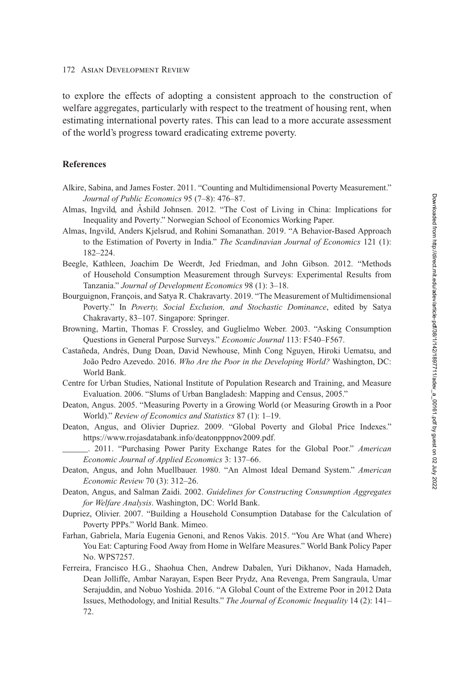<span id="page-30-0"></span>to explore the effects of adopting a consistent approach to the construction of welfare aggregates, particularly with respect to the treatment of housing rent, when estimating international poverty rates. This can lead to a more accurate assessment of the world's progress toward eradicating extreme poverty.

## **References**

- Alkire, Sabina, and James Foster. 2011. "Counting and Multidimensional Poverty Measurement." *Journal of Public Economics* 95 (7–8): 476–87.
- Almas, Ingvild, and Ashild Johnsen. 2012. "The Cost of Living in China: Implications for Inequality and Poverty." Norwegian School of Economics Working Paper.
- Almas, Ingvild, Anders Kjelsrud, and Rohini Somanathan. 2019. "A Behavior-Based Approach to the Estimation of Poverty in India." *The Scandinavian Journal of Economics* 121 (1): 182–224.
- Beegle, Kathleen, Joachim De Weerdt, Jed Friedman, and John Gibson. 2012. "Methods of Household Consumption Measurement through Surveys: Experimental Results from Tanzania." *Journal of Development Economics* 98 (1): 3–18.
- Bourguignon, François, and Satya R. Chakravarty. 2019. "The Measurement of Multidimensional Poverty." In *Poverty, Social Exclusion, and Stochastic Dominance*, edited by Satya Chakravarty, 83–107. Singapore: Springer.
- Browning, Martin, Thomas F. Crossley, and Guglielmo Weber. 2003. "Asking Consumption Questions in General Purpose Surveys." *Economic Journal* 113: F540–F567.
- Castañeda, Andrés, Dung Doan, David Newhouse, Minh Cong Nguyen, Hiroki Uematsu, and João Pedro Azevedo. 2016. *Who Are the Poor in the Developing World?* Washington, DC: World Bank.
- Centre for Urban Studies, National Institute of Population Research and Training, and Measure Evaluation. 2006. "Slums of Urban Bangladesh: Mapping and Census, 2005."
- Deaton, Angus. 2005. "Measuring Poverty in a Growing World (or Measuring Growth in a Poor World)." *Review of Economics and Statistics* 87 (1): 1–19.
- Deaton, Angus, and Olivier Dupriez. 2009. "Global Poverty and Global Price Indexes." [https://www.rrojasdatabank.info/deatonpppnov2009.pdf.](https://www.rrojasdatabank.info/deatonpppnov2009.pdf)
	- \_\_\_\_\_\_. 2011. "Purchasing Power Parity Exchange Rates for the Global Poor." *American Economic Journal of Applied Economics* 3: 137–66.
- Deaton, Angus, and John Muellbauer. 1980. "An Almost Ideal Demand System." *American Economic Review* 70 (3): 312–26.
- Deaton, Angus, and Salman Zaidi. 2002. *Guidelines for Constructing Consumption Aggregates for Welfare Analysis*. Washington, DC: World Bank.
- Dupriez, Olivier. 2007. "Building a Household Consumption Database for the Calculation of Poverty PPPs." World Bank. Mimeo.
- Farhan, Gabriela, María Eugenia Genoni, and Renos Vakis. 2015. "You Are What (and Where) You Eat: Capturing Food Away from Home in Welfare Measures." World Bank Policy Paper No. WPS7257.
- Ferreira, Francisco H.G., Shaohua Chen, Andrew Dabalen, Yuri Dikhanov, Nada Hamadeh, Dean Jolliffe, Ambar Narayan, Espen Beer Prydz, Ana Revenga, Prem Sangraula, Umar Serajuddin, and Nobuo Yoshida. 2016. "A Global Count of the Extreme Poor in 2012 Data Issues, Methodology, and Initial Results." *The Journal of Economic Inequality* 14 (2): 141– 72.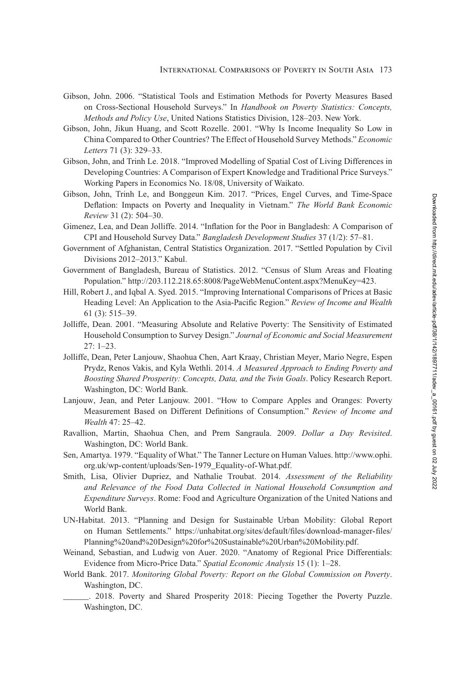- <span id="page-31-0"></span>Gibson, John. 2006. "Statistical Tools and Estimation Methods for Poverty Measures Based on Cross-Sectional Household Surveys." In *Handbook on Poverty Statistics: Concepts, Methods and Policy Use*, United Nations Statistics Division, 128–203. New York.
- Gibson, John, Jikun Huang, and Scott Rozelle. 2001. "Why Is Income Inequality So Low in China Compared to Other Countries? The Effect of Household Survey Methods." *Economic Letters* 71 (3): 329–33.
- Gibson, John, and Trinh Le. 2018. "Improved Modelling of Spatial Cost of Living Differences in Developing Countries: A Comparison of Expert Knowledge and Traditional Price Surveys." Working Papers in Economics No. 18/08, University of Waikato.
- Gibson, John, Trinh Le, and Bonggeun Kim. 2017. "Prices, Engel Curves, and Time-Space Deflation: Impacts on Poverty and Inequality in Vietnam." *The World Bank Economic Review* 31 (2): 504–30.
- Gimenez, Lea, and Dean Jolliffe. 2014. "Inflation for the Poor in Bangladesh: A Comparison of CPI and Household Survey Data." *Bangladesh Development Studies* 37 (1/2): 57–81.
- Government of Afghanistan, Central Statistics Organization. 2017. "Settled Population by Civil Divisions 2012–2013." Kabul.
- Government of Bangladesh, Bureau of Statistics. 2012. "Census of Slum Areas and Floating Population." [http://203.112.218.65:8008/PageWebMenuContent.aspx?MenuKey=423.](http://203.112.218.65:8008/PageWebMenuContent.aspx?MenuKey=423)
- Hill, Robert J., and Iqbal A. Syed. 2015. "Improving International Comparisons of Prices at Basic Heading Level: An Application to the Asia-Pacific Region." *Review of Income and Wealth* 61 (3): 515–39.
- Jolliffe, Dean. 2001. "Measuring Absolute and Relative Poverty: The Sensitivity of Estimated Household Consumption to Survey Design." *Journal of Economic and Social Measurement* 27: 1–23.
- Jolliffe, Dean, Peter Lanjouw, Shaohua Chen, Aart Kraay, Christian Meyer, Mario Negre, Espen Prydz, Renos Vakis, and Kyla Wethli. 2014. *A Measured Approach to Ending Poverty and Boosting Shared Prosperity: Concepts, Data, and the Twin Goals*. Policy Research Report. Washington, DC: World Bank.
- Lanjouw, Jean, and Peter Lanjouw. 2001. "How to Compare Apples and Oranges: Poverty Measurement Based on Different Definitions of Consumption." *Review of Income and Wealth* 47: 25–42.
- Ravallion, Martin, Shaohua Chen, and Prem Sangraula. 2009. *Dollar a Day Revisited*. Washington, DC: World Bank.
- Sen, [Amartya. 1979. "Equality of What." The Tanner Lecture on Human Values. http://www.ophi.](http://www.ophi.org.uk/wp-content/uploads/Sen-1979_Equality-of-What.pdf) org.uk/wp-content/uploads/Sen-1979\_Equality-of-What.pdf.
- Smith, Lisa, Olivier Dupriez, and Nathalie Troubat. 2014. *Assessment of the Reliability and Relevance of the Food Data Collected in National Household Consumption and Expenditure Surveys*. Rome: Food and Agriculture Organization of the United Nations and World Bank.
- UN-Habitat. 2013. "Planning and Design for Sustainable Urban Mobility: Global Report [on Human Settlements." https://unhabitat.org/sites/default/files/download-manager-files/](https://unhabitat.org/sites/default/files/download-manager-files/Planning%20and%20Design%20for%20Sustainable%20Urban%20Mobility.pdf) Planning%20and%20Design%20for%20Sustainable%20Urban%20Mobility.pdf.
- Weinand, Sebastian, and Ludwig von Auer. 2020. "Anatomy of Regional Price Differentials: Evidence from Micro-Price Data." *Spatial Economic Analysis* 15 (1): 1–28.
- World Bank. 2017. *Monitoring Global Poverty: Report on the Global Commission on Poverty*. Washington, DC.
	- . 2018. Poverty and Shared Prosperity 2018: Piecing Together the Poverty Puzzle. Washington, DC.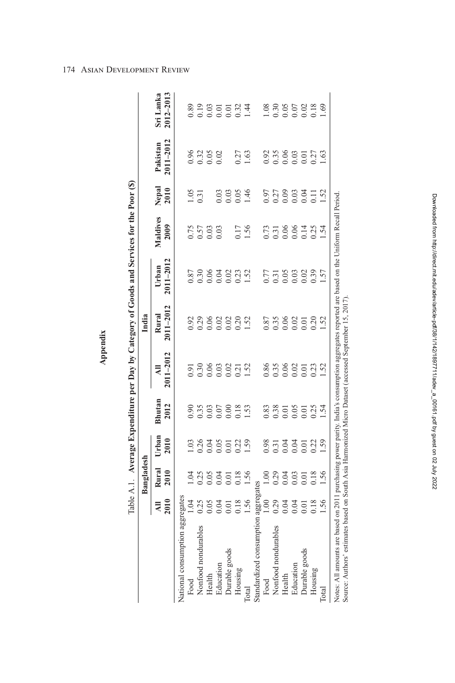| à       |
|---------|
|         |
| c.<br>۴ |
| r       |
|         |
|         |

Table A.1. Average Expenditure per Day by Category of Goods and Services for the Poor (\$)

Table A.1. Average Expenditure per Day by Category of Goods and Services for the Poor (\$)

|                            |                                        | Bangladesh                                            |                            |                                   |                              | India                                                                 |                                     |                              |                            |                        |                                                                                                                                                                                                                                            |
|----------------------------|----------------------------------------|-------------------------------------------------------|----------------------------|-----------------------------------|------------------------------|-----------------------------------------------------------------------|-------------------------------------|------------------------------|----------------------------|------------------------|--------------------------------------------------------------------------------------------------------------------------------------------------------------------------------------------------------------------------------------------|
|                            | $\frac{\text{Al}}{\text{2010}}$        | Rural<br>2010                                         | Urban<br>2010              | Bhutan<br>2012                    | 2011-2012<br>$\overline{AB}$ | Rural<br>2011–2012                                                    | Urban<br>2011–2012                  | Maldives<br>2009             | Nepal<br>2010              | Pakistan<br>2011–2012  | Sri Lanka<br>2012–2013                                                                                                                                                                                                                     |
| National consumption aggre |                                        |                                                       |                            |                                   |                              |                                                                       |                                     |                              |                            |                        |                                                                                                                                                                                                                                            |
| Food                       | egates<br>1.04<br>1.04<br>1.56<br>1.56 |                                                       |                            |                                   |                              |                                                                       |                                     |                              |                            |                        |                                                                                                                                                                                                                                            |
| Nonfood nondurables        |                                        | 1922<br>1922<br>1922                                  | 1.036501.59<br>0.000001.59 | 0.96<br>0.35<br>0.000.000<br>1.51 | 9.30<br>0.30<br>0.000 21.52  | 3.3.8 8 8 8 8 9 .<br>0 .3 .8 .8 .9 .9 .9 .1 .5<br>1 .5 .9 .0 .1 .5 .1 | 878848332<br>00000001               | 75<br>0.57<br>0.00           | $\frac{1}{0.31}$           | 96 32<br>0.32<br>0.0.0 | 0.89<br>0.03<br>0.05<br>0.03<br>1.44                                                                                                                                                                                                       |
| Health                     |                                        |                                                       |                            |                                   |                              |                                                                       |                                     |                              |                            |                        |                                                                                                                                                                                                                                            |
| Education                  |                                        |                                                       |                            |                                   |                              |                                                                       |                                     |                              |                            |                        |                                                                                                                                                                                                                                            |
| Durable goods              |                                        |                                                       |                            |                                   |                              |                                                                       |                                     |                              |                            |                        |                                                                                                                                                                                                                                            |
| Housing                    |                                        |                                                       |                            |                                   |                              |                                                                       |                                     |                              | $0.03$<br>$0.05$<br>$1.46$ | 0.27<br>1.63           |                                                                                                                                                                                                                                            |
| <b>Total</b>               |                                        |                                                       |                            |                                   |                              |                                                                       |                                     | 0.17<br>1.56                 |                            |                        |                                                                                                                                                                                                                                            |
| Standardized consumption   | iggrega                                |                                                       |                            |                                   |                              |                                                                       |                                     |                              |                            |                        |                                                                                                                                                                                                                                            |
| Food                       |                                        |                                                       |                            |                                   |                              |                                                                       |                                     |                              |                            |                        |                                                                                                                                                                                                                                            |
| Nonfood nondurables        |                                        | 8 8 8 8 8 9 8 9<br>8 9 8 8 9 8 9 8<br>1 9 8 9 8 9 8 9 | 8.533528.5<br>0.0000000    | 83<br>83555534<br>00000014        | 885882333                    | 87<br>0.36825020<br>0.00001                                           | 77<br>0.318323<br>0.000.315<br>1.57 | 73<br>0.3000134<br>0.00001.1 | 578834182                  |                        | $\frac{8}{2}$<br>$\frac{3}{2}$<br>$\frac{3}{2}$<br>$\frac{5}{2}$<br>$\frac{5}{2}$<br>$\frac{2}{3}$<br>$\frac{3}{2}$<br>$\frac{3}{2}$<br>$\frac{3}{2}$<br>$\frac{3}{2}$<br>$\frac{3}{2}$<br>$\frac{3}{2}$<br>$\frac{3}{2}$<br>$\frac{3}{2}$ |
| Health                     |                                        |                                                       |                            |                                   |                              |                                                                       |                                     |                              |                            |                        |                                                                                                                                                                                                                                            |
| Education                  |                                        |                                                       |                            |                                   |                              |                                                                       |                                     |                              |                            |                        |                                                                                                                                                                                                                                            |
| Durable goods              |                                        |                                                       |                            |                                   |                              |                                                                       |                                     |                              |                            |                        |                                                                                                                                                                                                                                            |
| Housing                    |                                        |                                                       |                            |                                   |                              |                                                                       |                                     |                              |                            |                        |                                                                                                                                                                                                                                            |
| <b>Cotal</b>               |                                        |                                                       |                            |                                   |                              |                                                                       |                                     |                              |                            |                        |                                                                                                                                                                                                                                            |
|                            |                                        |                                                       |                            |                                   |                              |                                                                       |                                     |                              |                            |                        |                                                                                                                                                                                                                                            |

Notes: All amounts are based on 2011 purchasing power parity. India's consumption aggregates reported are based on the Uniform Recall Period. Notes: All amounts are based on 2011 purchasing power parity. India's consumption aggregates reported are based on the Uniform Recall Period. Source: Authors' estimates based on South Asia Harmonized Micro Dataset (accessed September 15, 2017). Source: Authors' estimates based on South Asia Harmonized Micro Dataset (accessed September 15, 2017).

# <span id="page-32-0"></span>174 Asian Development Review